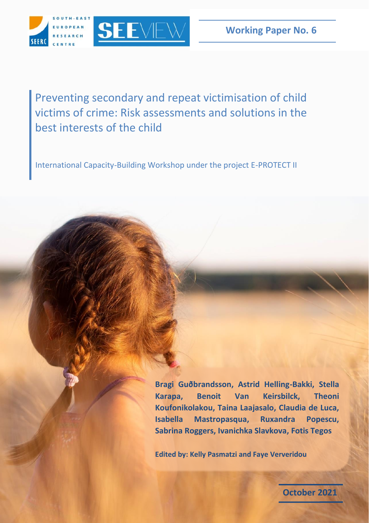

Preventing secondary and repeat victimisation of child victims of crime: Risk assessments and solutions in the best interests of the child

International Capacity-Building Workshop under the project E-PROTECT II

**Bragi Guðbrandsson, Astrid Helling-Bakki, Stella Karapa, Benoit Van Keirsbilck, Theoni Koufonikolakou, Taina Laajasalo, Claudia de Luca, Isabella Mastropasqua, Ruxandra Popescu, Sabrina Roggers, Ivanichka Slavkova, Fotis Tegos**

**Edited by: Kelly Pasmatzi and Faye Ververidou**

**October 2021**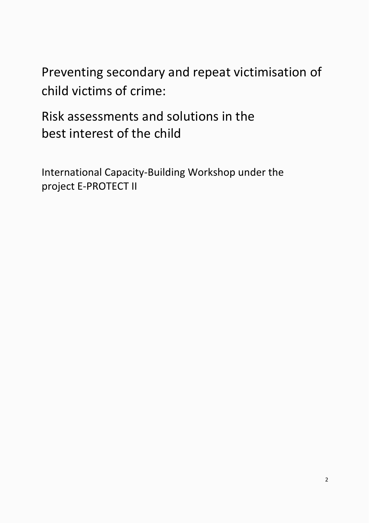Preventing secondary and repeat victimisation of child victims of crime:

Risk assessments and solutions in the best interest of the child

International Capacity-Building Workshop under the project E-PROTECT II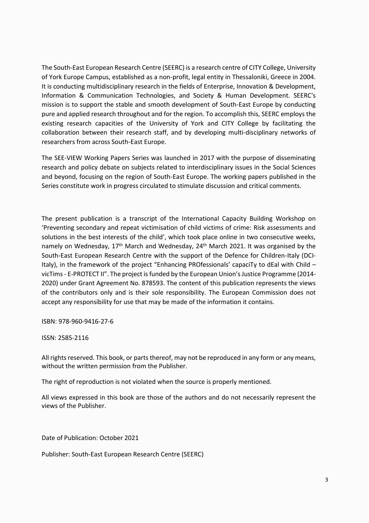The South-East European Research Centre (SEERC) is a research centre of CITY College, University of York Europe Campus, established as a non-profit, legal entity in Thessaloniki, Greece in 2004. It is conducting multidisciplinary research in the fields of Enterprise, Innovation & Development, Information & Communication Technologies, and Society & Human Development. SEERC's mission is to support the stable and smooth development of South-East Europe by conducting pure and applied research throughout and for the region. To accomplish this, SEERC employs the existing research capacities of the University of York and CITY College by facilitating the collaboration between their research staff, and by developing multi-disciplinary networks of researchers from across South-East Europe.

The SEE-VIEW Working Papers Series was launched in 2017 with the purpose of disseminating research and policy debate on subjects related to interdisciplinary issues in the Social Sciences and beyond, focusing on the region of South-East Europe. The working papers published in the Series constitute work in progress circulated to stimulate discussion and critical comments.

The present publication is a transcript of the International Capacity Building Workshop on 'Preventing secondary and repeat victimisation of child victims of crime: Risk assessments and solutions in the best interests of the child', which took place online in two consecutive weeks, namely on Wednesday,  $17<sup>th</sup>$  March and Wednesday,  $24<sup>th</sup>$  March 2021. It was organised by the South-East European Research Centre with the support of the Defence for Children-Italy (DCI-Italy), in the framework of the project "Enhancing PROfessionals' capaciTy to dEal with Child – vicTims - E-PROTECT II". The project is funded by the European Union's Justice Programme (2014- 2020) under Grant Agreement No. 878593. The content of this publication represents the views of the contributors only and is their sole responsibility. The European Commission does not accept any responsibility for use that may be made of the information it contains.

ISBN: 978-960-9416-27-6

ISSN: 2585-2116

All rights reserved. This book, or parts thereof, may not be reproduced in any form or any means, without the written permission from the Publisher.

The right of reproduction is not violated when the source is properly mentioned.

All views expressed in this book are those of the authors and do not necessarily represent the views of the Publisher.

Date of Publication: October 2021

Publisher: South-East European Research Centre (SEERC)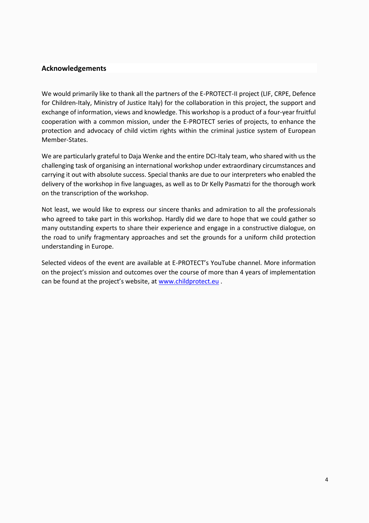### **Acknowledgements**

We would primarily like to thank all the partners of the E-PROTECT-II project (LIF, CRPE, Defence for Children-Italy, Ministry of Justice Italy) for the collaboration in this project, the support and exchange of information, views and knowledge. This workshop is a product of a four-year fruitful cooperation with a common mission, under the E-PROTECT series of projects, to enhance the protection and advocacy of child victim rights within the criminal justice system of European Member-States.

We are particularly grateful to Daja Wenke and the entire DCI-Italy team, who shared with us the challenging task of organising an international workshop under extraordinary circumstances and carrying it out with absolute success. Special thanks are due to our interpreters who enabled the delivery of the workshop in five languages, as well as to Dr Kelly Pasmatzi for the thorough work on the transcription of the workshop.

Not least, we would like to express our sincere thanks and admiration to all the professionals who agreed to take part in this workshop. Hardly did we dare to hope that we could gather so many outstanding experts to share their experience and engage in a constructive dialogue, on the road to unify fragmentary approaches and set the grounds for a uniform child protection understanding in Europe.

Selected videos of the event are available at E-PROTECT's YouTube channel. More information on the project's mission and outcomes over the course of more than 4 years of implementation can be found at the project's website, at [www.childprotect.eu](http://www.childprotect.eu/) .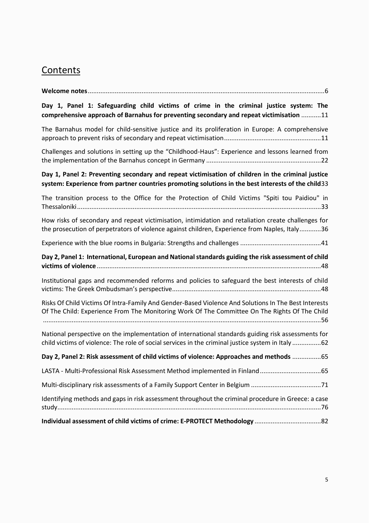# **Contents**

| Day 1, Panel 1: Safeguarding child victims of crime in the criminal justice system: The<br>comprehensive approach of Barnahus for preventing secondary and repeat victimisation 11                       |
|----------------------------------------------------------------------------------------------------------------------------------------------------------------------------------------------------------|
| The Barnahus model for child-sensitive justice and its proliferation in Europe: A comprehensive                                                                                                          |
| Challenges and solutions in setting up the "Childhood-Haus": Experience and lessons learned from                                                                                                         |
| Day 1, Panel 2: Preventing secondary and repeat victimisation of children in the criminal justice<br>system: Experience from partner countries promoting solutions in the best interests of the child 33 |
| The transition process to the Office for the Protection of Child Victims "Spiti tou Paidiou" in                                                                                                          |
| How risks of secondary and repeat victimisation, intimidation and retaliation create challenges for<br>the prosecution of perpetrators of violence against children, Experience from Naples, Italy36     |
|                                                                                                                                                                                                          |
| Day 2, Panel 1: International, European and National standards guiding the risk assessment of child                                                                                                      |
| Institutional gaps and recommended reforms and policies to safeguard the best interests of child                                                                                                         |
| Risks Of Child Victims Of Intra-Family And Gender-Based Violence And Solutions In The Best Interests<br>Of The Child: Experience From The Monitoring Work Of The Committee On The Rights Of The Child    |
| National perspective on the implementation of international standards guiding risk assessments for<br>child victims of violence: The role of social services in the criminal justice system in Italy62   |
| Day 2, Panel 2: Risk assessment of child victims of violence: Approaches and methods  65                                                                                                                 |
| LASTA - Multi-Professional Risk Assessment Method implemented in Finland 55                                                                                                                              |
|                                                                                                                                                                                                          |
| Identifying methods and gaps in risk assessment throughout the criminal procedure in Greece: a case                                                                                                      |
|                                                                                                                                                                                                          |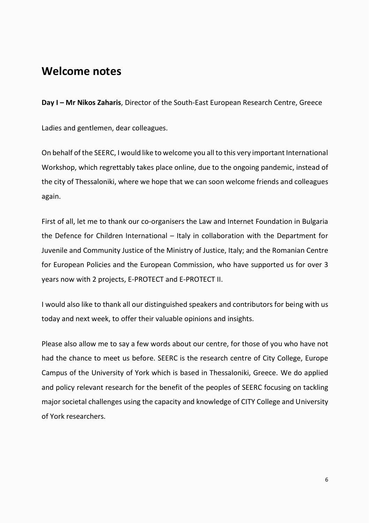# <span id="page-5-0"></span>**Welcome notes**

**Day I – Mr Nikos Zaharis**, Director of the South-East European Research Centre, Greece

Ladies and gentlemen, dear colleagues.

On behalf of the SEERC, I would like to welcome you all to this very important International Workshop, which regrettably takes place online, due to the ongoing pandemic, instead of the city of Thessaloniki, where we hope that we can soon welcome friends and colleagues again.

First of all, let me to thank our co-organisers the Law and Internet Foundation in Bulgaria the Defence for Children International – Italy in collaboration with the Department for Juvenile and Community Justice of the Ministry of Justice, Italy; and the Romanian Centre for European Policies and the European Commission, who have supported us for over 3 years now with 2 projects, E-PROTECT and E-PROTECT II.

I would also like to thank all our distinguished speakers and contributors for being with us today and next week, to offer their valuable opinions and insights.

Please also allow me to say a few words about our centre, for those of you who have not had the chance to meet us before. SEERC is the research centre of City College, Europe Campus of the University of York which is based in Thessaloniki, Greece. We do applied and policy relevant research for the benefit of the peoples of SEERC focusing on tackling major societal challenges using the capacity and knowledge of CITY College and University of York researchers.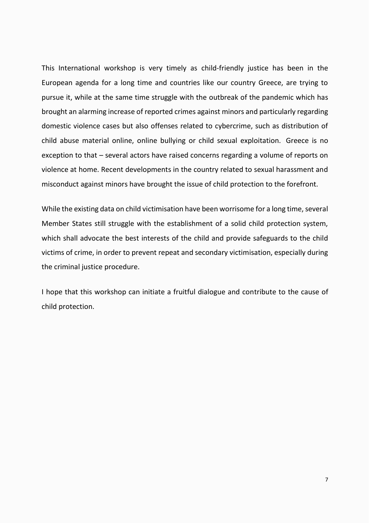This International workshop is very timely as child-friendly justice has been in the European agenda for a long time and countries like our country Greece, are trying to pursue it, while at the same time struggle with the outbreak of the pandemic which has brought an alarming increase of reported crimes against minors and particularly regarding domestic violence cases but also offenses related to cybercrime, such as distribution of child abuse material online, online bullying or child sexual exploitation. Greece is no exception to that – several actors have raised concerns regarding a volume of reports on violence at home. Recent developments in the country related to sexual harassment and misconduct against minors have brought the issue of child protection to the forefront.

While the existing data on child victimisation have been worrisome for a long time, several Member States still struggle with the establishment of a solid child protection system, which shall advocate the best interests of the child and provide safeguards to the child victims of crime, in order to prevent repeat and secondary victimisation, especially during the criminal justice procedure.

I hope that this workshop can initiate a fruitful dialogue and contribute to the cause of child protection.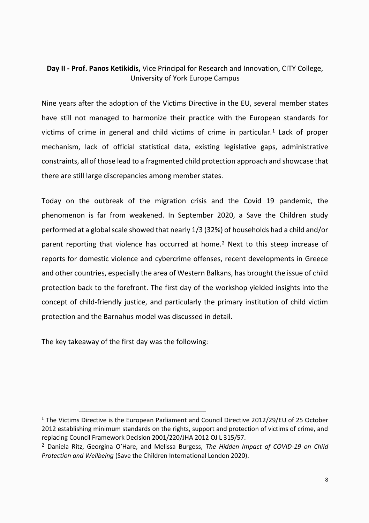### **Day II - Prof. Panos Ketikidis,** Vice Principal for Research and Innovation, CITY College, University of York Europe Campus

Nine years after the adoption of the Victims Directive in the EU, several member states have still not managed to harmonize their practice with the European standards for victims of crime in general and child victims of crime in particular.<sup>1</sup> Lack of proper mechanism, lack of official statistical data, existing legislative gaps, administrative constraints, all of those lead to a fragmented child protection approach and showcase that there are still large discrepancies among member states.

Today on the outbreak of the migration crisis and the Covid 19 pandemic, the phenomenon is far from weakened. In September 2020, a Save the Children study performed at a global scale showed that nearly 1/3 (32%) of households had a child and/or parent reporting that violence has occurred at home.<sup>2</sup> Next to this steep increase of reports for domestic violence and cybercrime offenses, recent developments in Greece and other countries, especially the area of Western Balkans, has brought the issue of child protection back to the forefront. The first day of the workshop yielded insights into the concept of child-friendly justice, and particularly the primary institution of child victim protection and the Barnahus model was discussed in detail.

The key takeaway of the first day was the following:

<sup>&</sup>lt;sup>1</sup> The Victims Directive is the European Parliament and Council Directive 2012/29/EU of 25 October 2012 establishing minimum standards on the rights, support and protection of victims of crime, and replacing Council Framework Decision 2001/220/JHA 2012 OJ L 315/57.

<sup>2</sup> Daniela Ritz, Georgina O'Hare, and Melissa Burgess, *The Hidden Impact of COVID-19 on Child Protection and Wellbeing* (Save the Children International London 2020).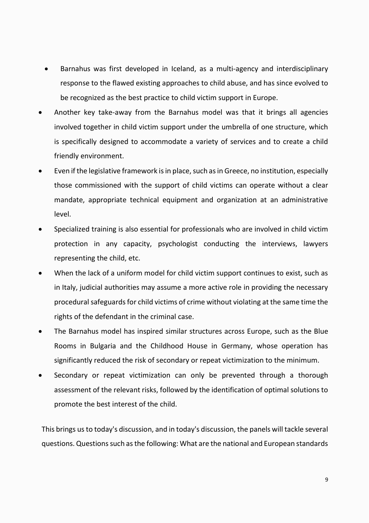- Barnahus was first developed in Iceland, as a multi-agency and interdisciplinary response to the flawed existing approaches to child abuse, and has since evolved to be recognized as the best practice to child victim support in Europe.
- Another key take-away from the Barnahus model was that it brings all agencies involved together in child victim support under the umbrella of one structure, which is specifically designed to accommodate a variety of services and to create a child friendly environment.
- Even if the legislative framework is in place, such as in Greece, no institution, especially those commissioned with the support of child victims can operate without a clear mandate, appropriate technical equipment and organization at an administrative level.
- Specialized training is also essential for professionals who are involved in child victim protection in any capacity, psychologist conducting the interviews, lawyers representing the child, etc.
- When the lack of a uniform model for child victim support continues to exist, such as in Italy, judicial authorities may assume a more active role in providing the necessary procedural safeguards for child victims of crime without violating at the same time the rights of the defendant in the criminal case.
- The Barnahus model has inspired similar structures across Europe, such as the Blue Rooms in Bulgaria and the Childhood House in Germany, whose operation has significantly reduced the risk of secondary or repeat victimization to the minimum.
- Secondary or repeat victimization can only be prevented through a thorough assessment of the relevant risks, followed by the identification of optimal solutions to promote the best interest of the child.

This brings us to today's discussion, and in today's discussion, the panels will tackle several questions. Questions such as the following: What are the national and European standards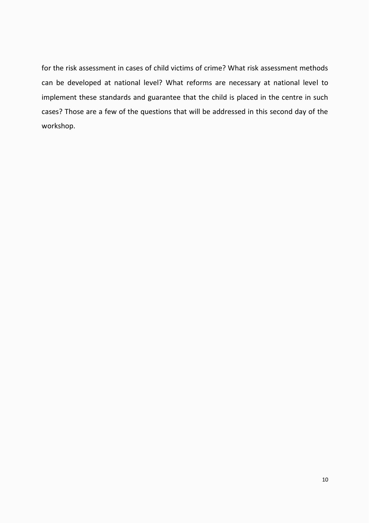for the risk assessment in cases of child victims of crime? What risk assessment methods can be developed at national level? What reforms are necessary at national level to implement these standards and guarantee that the child is placed in the centre in such cases? Those are a few of the questions that will be addressed in this second day of the workshop.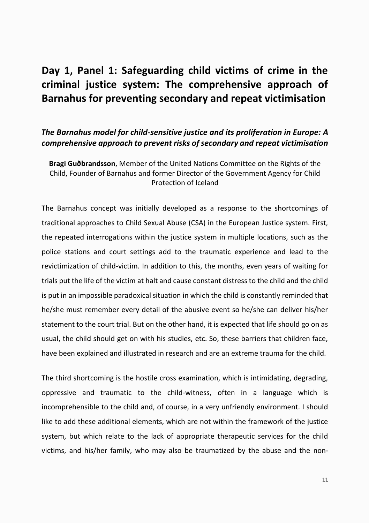# <span id="page-10-0"></span>**Day 1, Panel 1: Safeguarding child victims of crime in the criminal justice system: The comprehensive approach of Barnahus for preventing secondary and repeat victimisation**

### <span id="page-10-1"></span>*The Barnahus model for child-sensitive justice and its proliferation in Europe: A comprehensive approach to prevent risks of secondary and repeat victimisation*

**Bragi Guðbrandsson**, Member of the United Nations Committee on the Rights of the Child, Founder of Barnahus and former Director of the Government Agency for Child Protection of Iceland

The Barnahus concept was initially developed as a response to the shortcomings of traditional approaches to Child Sexual Abuse (CSA) in the European Justice system. First, the repeated interrogations within the justice system in multiple locations, such as the police stations and court settings add to the traumatic experience and lead to the revictimization of child-victim. In addition to this, the months, even years of waiting for trials put the life of the victim at halt and cause constant distress to the child and the child is put in an impossible paradoxical situation in which the child is constantly reminded that he/she must remember every detail of the abusive event so he/she can deliver his/her statement to the court trial. But on the other hand, it is expected that life should go on as usual, the child should get on with his studies, etc. So, these barriers that children face, have been explained and illustrated in research and are an extreme trauma for the child.

The third shortcoming is the hostile cross examination, which is intimidating, degrading, oppressive and traumatic to the child-witness, often in a language which is incomprehensible to the child and, of course, in a very unfriendly environment. I should like to add these additional elements, which are not within the framework of the justice system, but which relate to the lack of appropriate therapeutic services for the child victims, and his/her family, who may also be traumatized by the abuse and the non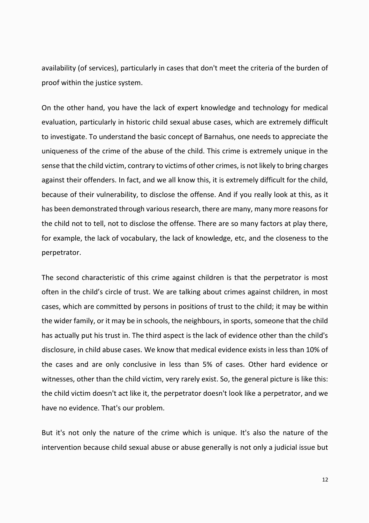availability (of services), particularly in cases that don't meet the criteria of the burden of proof within the justice system.

On the other hand, you have the lack of expert knowledge and technology for medical evaluation, particularly in historic child sexual abuse cases, which are extremely difficult to investigate. To understand the basic concept of Barnahus, one needs to appreciate the uniqueness of the crime of the abuse of the child. This crime is extremely unique in the sense that the child victim, contrary to victims of other crimes, is not likely to bring charges against their offenders. In fact, and we all know this, it is extremely difficult for the child, because of their vulnerability, to disclose the offense. And if you really look at this, as it has been demonstrated through various research, there are many, many more reasons for the child not to tell, not to disclose the offense. There are so many factors at play there, for example, the lack of vocabulary, the lack of knowledge, etc, and the closeness to the perpetrator.

The second characteristic of this crime against children is that the perpetrator is most often in the child's circle of trust. We are talking about crimes against children, in most cases, which are committed by persons in positions of trust to the child; it may be within the wider family, or it may be in schools, the neighbours, in sports, someone that the child has actually put his trust in. The third aspect is the lack of evidence other than the child's disclosure, in child abuse cases. We know that medical evidence exists in less than 10% of the cases and are only conclusive in less than 5% of cases. Other hard evidence or witnesses, other than the child victim, very rarely exist. So, the general picture is like this: the child victim doesn't act like it, the perpetrator doesn't look like a perpetrator, and we have no evidence. That's our problem.

But it's not only the nature of the crime which is unique. It's also the nature of the intervention because child sexual abuse or abuse generally is not only a judicial issue but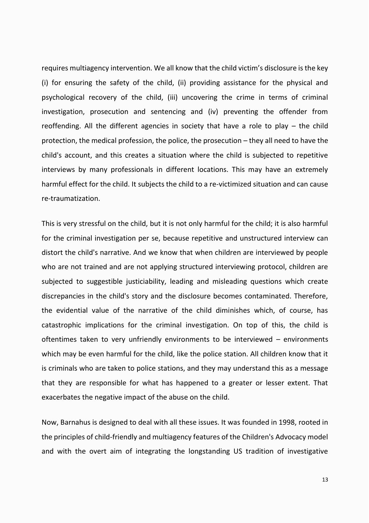requires multiagency intervention. We all know that the child victim's disclosure is the key (i) for ensuring the safety of the child, (ii) providing assistance for the physical and psychological recovery of the child, (iii) uncovering the crime in terms of criminal investigation, prosecution and sentencing and (iv) preventing the offender from reoffending. All the different agencies in society that have a role to play – the child protection, the medical profession, the police, the prosecution – they all need to have the child's account, and this creates a situation where the child is subjected to repetitive interviews by many professionals in different locations. This may have an extremely harmful effect for the child. It subjects the child to a re-victimized situation and can cause re-traumatization.

This is very stressful on the child, but it is not only harmful for the child; it is also harmful for the criminal investigation per se, because repetitive and unstructured interview can distort the child's narrative. And we know that when children are interviewed by people who are not trained and are not applying structured interviewing protocol, children are subjected to suggestible justiciability, leading and misleading questions which create discrepancies in the child's story and the disclosure becomes contaminated. Therefore, the evidential value of the narrative of the child diminishes which, of course, has catastrophic implications for the criminal investigation. On top of this, the child is oftentimes taken to very unfriendly environments to be interviewed – environments which may be even harmful for the child, like the police station. All children know that it is criminals who are taken to police stations, and they may understand this as a message that they are responsible for what has happened to a greater or lesser extent. That exacerbates the negative impact of the abuse on the child.

Now, Barnahus is designed to deal with all these issues. It was founded in 1998, rooted in the principles of child-friendly and multiagency features of the Children's Advocacy model and with the overt aim of integrating the longstanding US tradition of investigative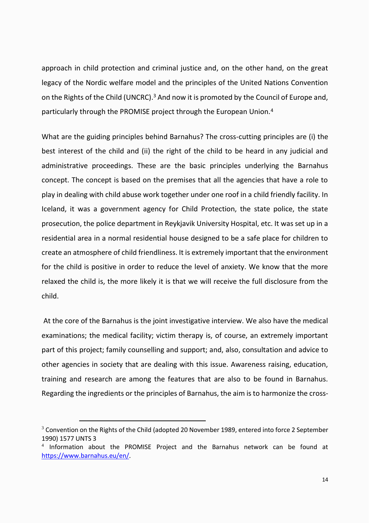approach in child protection and criminal justice and, on the other hand, on the great legacy of the Nordic welfare model and the principles of the United Nations Convention on the Rights of the Child (UNCRC).<sup>3</sup> And now it is promoted by the Council of Europe and, particularly through the PROMISE project through the European Union.<sup>4</sup>

What are the guiding principles behind Barnahus? The cross-cutting principles are (i) the best interest of the child and (ii) the right of the child to be heard in any judicial and administrative proceedings. These are the basic principles underlying the Barnahus concept. The concept is based on the premises that all the agencies that have a role to play in dealing with child abuse work together under one roof in a child friendly facility. In Iceland, it was a government agency for Child Protection, the state police, the state prosecution, the police department in Reykjavik University Hospital, etc. It was set up in a residential area in a normal residential house designed to be a safe place for children to create an atmosphere of child friendliness. It is extremely important that the environment for the child is positive in order to reduce the level of anxiety. We know that the more relaxed the child is, the more likely it is that we will receive the full disclosure from the child.

At the core of the Barnahus is the joint investigative interview. We also have the medical examinations; the medical facility; victim therapy is, of course, an extremely important part of this project; family counselling and support; and, also, consultation and advice to other agencies in society that are dealing with this issue. Awareness raising, education, training and research are among the features that are also to be found in Barnahus. Regarding the ingredients or the principles of Barnahus, the aim is to harmonize the cross-

 $3$  Convention on the Rights of the Child (adopted 20 November 1989, entered into force 2 September 1990) 1577 UNTS 3

<sup>4</sup> Information about the PROMISE Project and the Barnahus network can be found at <https://www.barnahus.eu/en/>.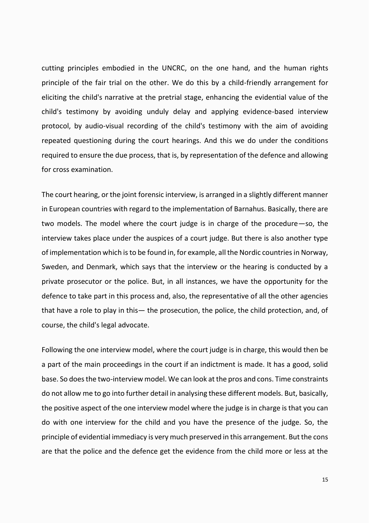cutting principles embodied in the UNCRC, on the one hand, and the human rights principle of the fair trial on the other. We do this by a child-friendly arrangement for eliciting the child's narrative at the pretrial stage, enhancing the evidential value of the child's testimony by avoiding unduly delay and applying evidence-based interview protocol, by audio-visual recording of the child's testimony with the aim of avoiding repeated questioning during the court hearings. And this we do under the conditions required to ensure the due process, that is, by representation of the defence and allowing for cross examination.

The court hearing, or the joint forensic interview, is arranged in a slightly different manner in European countries with regard to the implementation of Barnahus. Basically, there are two models. The model where the court judge is in charge of the procedure—so, the interview takes place under the auspices of a court judge. But there is also another type of implementation which is to be found in, for example, all the Nordic countries in Norway, Sweden, and Denmark, which says that the interview or the hearing is conducted by a private prosecutor or the police. But, in all instances, we have the opportunity for the defence to take part in this process and, also, the representative of all the other agencies that have a role to play in this— the prosecution, the police, the child protection, and, of course, the child's legal advocate.

Following the one interview model, where the court judge is in charge, this would then be a part of the main proceedings in the court if an indictment is made. It has a good, solid base. So does the two-interview model. We can look at the pros and cons. Time constraints do not allow me to go into further detail in analysing these different models. But, basically, the positive aspect of the one interview model where the judge is in charge is that you can do with one interview for the child and you have the presence of the judge. So, the principle of evidential immediacy is very much preserved in this arrangement. But the cons are that the police and the defence get the evidence from the child more or less at the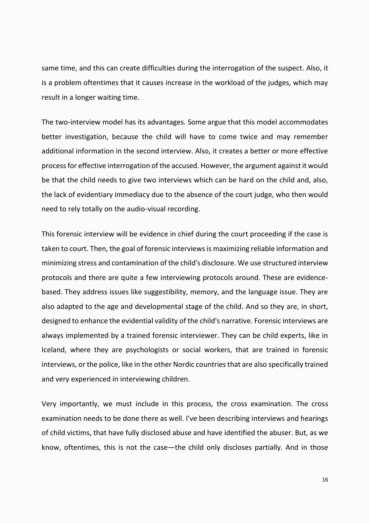same time, and this can create difficulties during the interrogation of the suspect. Also, it is a problem oftentimes that it causes increase in the workload of the judges, which may result in a longer waiting time.

The two-interview model has its advantages. Some argue that this model accommodates better investigation, because the child will have to come twice and may remember additional information in the second interview. Also, it creates a better or more effective process for effective interrogation of the accused. However, the argument against it would be that the child needs to give two interviews which can be hard on the child and, also, the lack of evidentiary immediacy due to the absence of the court judge, who then would need to rely totally on the audio-visual recording.

This forensic interview will be evidence in chief during the court proceeding if the case is taken to court. Then, the goal of forensic interviews is maximizing reliable information and minimizing stress and contamination of the child's disclosure. We use structured interview protocols and there are quite a few interviewing protocols around. These are evidencebased. They address issues like suggestibility, memory, and the language issue. They are also adapted to the age and developmental stage of the child. And so they are, in short, designed to enhance the evidential validity of the child's narrative. Forensic interviews are always implemented by a trained forensic interviewer. They can be child experts, like in Iceland, where they are psychologists or social workers, that are trained in forensic interviews, or the police, like in the other Nordic countries that are also specifically trained and very experienced in interviewing children.

Very importantly, we must include in this process, the cross examination. The cross examination needs to be done there as well. I've been describing interviews and hearings of child victims, that have fully disclosed abuse and have identified the abuser. But, as we know, oftentimes, this is not the case—the child only discloses partially. And in those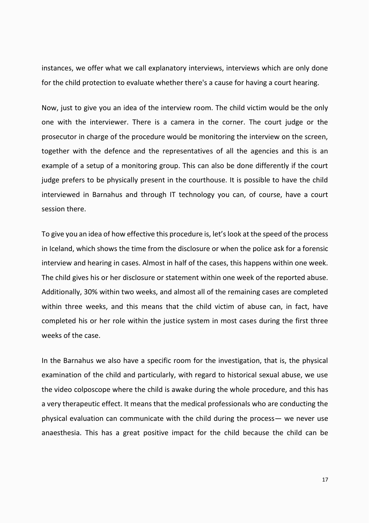instances, we offer what we call explanatory interviews, interviews which are only done for the child protection to evaluate whether there's a cause for having a court hearing.

Now, just to give you an idea of the interview room. The child victim would be the only one with the interviewer. There is a camera in the corner. The court judge or the prosecutor in charge of the procedure would be monitoring the interview on the screen, together with the defence and the representatives of all the agencies and this is an example of a setup of a monitoring group. This can also be done differently if the court judge prefers to be physically present in the courthouse. It is possible to have the child interviewed in Barnahus and through IT technology you can, of course, have a court session there.

To give you an idea of how effective this procedure is, let's look at the speed of the process in Iceland, which shows the time from the disclosure or when the police ask for a forensic interview and hearing in cases. Almost in half of the cases, this happens within one week. The child gives his or her disclosure or statement within one week of the reported abuse. Additionally, 30% within two weeks, and almost all of the remaining cases are completed within three weeks, and this means that the child victim of abuse can, in fact, have completed his or her role within the justice system in most cases during the first three weeks of the case.

In the Barnahus we also have a specific room for the investigation, that is, the physical examination of the child and particularly, with regard to historical sexual abuse, we use the video colposcope where the child is awake during the whole procedure, and this has a very therapeutic effect. It means that the medical professionals who are conducting the physical evaluation can communicate with the child during the process— we never use anaesthesia. This has a great positive impact for the child because the child can be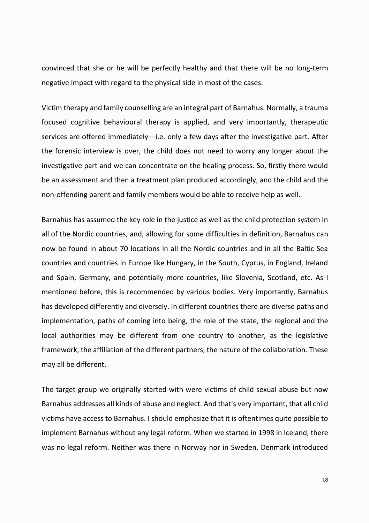convinced that she or he will be perfectly healthy and that there will be no long-term negative impact with regard to the physical side in most of the cases.

Victim therapy and family counselling are an integral part of Barnahus. Normally, a trauma focused cognitive behavioural therapy is applied, and very importantly, therapeutic services are offered immediately—i.e. only a few days after the investigative part. After the forensic interview is over, the child does not need to worry any longer about the investigative part and we can concentrate on the healing process. So, firstly there would be an assessment and then a treatment plan produced accordingly, and the child and the non-offending parent and family members would be able to receive help as well.

Barnahus has assumed the key role in the justice as well as the child protection system in all of the Nordic countries, and, allowing for some difficulties in definition, Barnahus can now be found in about 70 locations in all the Nordic countries and in all the Baltic Sea countries and countries in Europe like Hungary, in the South, Cyprus, in England, Ireland and Spain, Germany, and potentially more countries, like Slovenia, Scotland, etc. As I mentioned before, this is recommended by various bodies. Very importantly, Barnahus has developed differently and diversely. In different countries there are diverse paths and implementation, paths of coming into being, the role of the state, the regional and the local authorities may be different from one country to another, as the legislative framework, the affiliation of the different partners, the nature of the collaboration. These may all be different.

The target group we originally started with were victims of child sexual abuse but now Barnahus addresses all kinds of abuse and neglect. And that's very important, that all child victims have access to Barnahus. I should emphasize that it is oftentimes quite possible to implement Barnahus without any legal reform. When we started in 1998 in Iceland, there was no legal reform. Neither was there in Norway nor in Sweden. Denmark introduced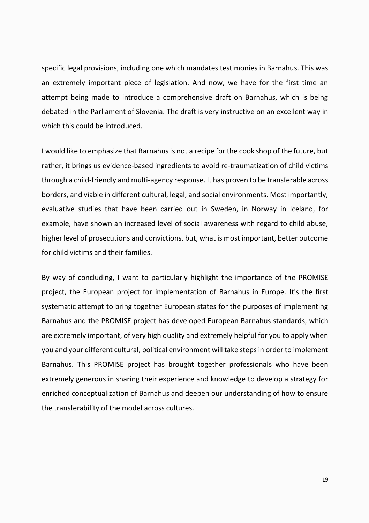specific legal provisions, including one which mandates testimonies in Barnahus. This was an extremely important piece of legislation. And now, we have for the first time an attempt being made to introduce a comprehensive draft on Barnahus, which is being debated in the Parliament of Slovenia. The draft is very instructive on an excellent way in which this could be introduced.

I would like to emphasize that Barnahus is not a recipe for the cook shop of the future, but rather, it brings us evidence-based ingredients to avoid re-traumatization of child victims through a child-friendly and multi-agency response. It has proven to be transferable across borders, and viable in different cultural, legal, and social environments. Most importantly, evaluative studies that have been carried out in Sweden, in Norway in Iceland, for example, have shown an increased level of social awareness with regard to child abuse, higher level of prosecutions and convictions, but, what is most important, better outcome for child victims and their families.

By way of concluding, I want to particularly highlight the importance of the PROMISE project, the European project for implementation of Barnahus in Europe. It's the first systematic attempt to bring together European states for the purposes of implementing Barnahus and the PROMISE project has developed European Barnahus standards, which are extremely important, of very high quality and extremely helpful for you to apply when you and your different cultural, political environment will take steps in order to implement Barnahus. This PROMISE project has brought together professionals who have been extremely generous in sharing their experience and knowledge to develop a strategy for enriched conceptualization of Barnahus and deepen our understanding of how to ensure the transferability of the model across cultures.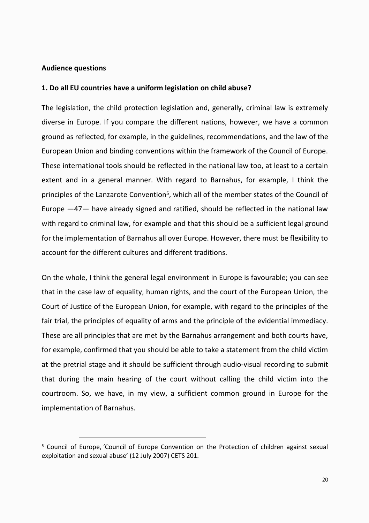### **Audience questions**

#### **1. Do all EU countries have a uniform legislation on child abuse?**

The legislation, the child protection legislation and, generally, criminal law is extremely diverse in Europe. If you compare the different nations, however, we have a common ground as reflected, for example, in the guidelines, recommendations, and the law of the European Union and binding conventions within the framework of the Council of Europe. These international tools should be reflected in the national law too, at least to a certain extent and in a general manner. With regard to Barnahus, for example, I think the principles of the Lanzarote Convention<sup>5</sup>, which all of the member states of the Council of Europe —47— have already signed and ratified, should be reflected in the national law with regard to criminal law, for example and that this should be a sufficient legal ground for the implementation of Barnahus all over Europe. However, there must be flexibility to account for the different cultures and different traditions.

On the whole, I think the general legal environment in Europe is favourable; you can see that in the case law of equality, human rights, and the court of the European Union, the Court of Justice of the European Union, for example, with regard to the principles of the fair trial, the principles of equality of arms and the principle of the evidential immediacy. These are all principles that are met by the Barnahus arrangement and both courts have, for example, confirmed that you should be able to take a statement from the child victim at the pretrial stage and it should be sufficient through audio-visual recording to submit that during the main hearing of the court without calling the child victim into the courtroom. So, we have, in my view, a sufficient common ground in Europe for the implementation of Barnahus.

<sup>5</sup> Council of Europe, 'Council of Europe Convention on the Protection of children against sexual exploitation and sexual abuse' (12 July 2007) CETS 201.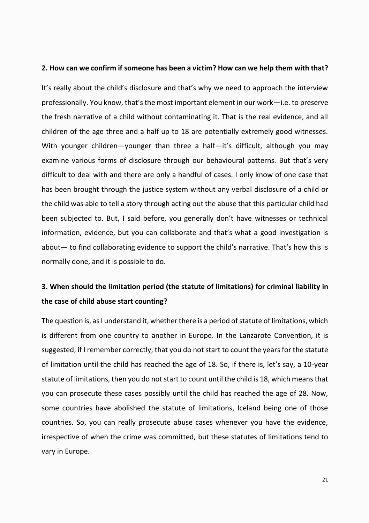#### **2. How can we confirm if someone has been a victim? How can we help them with that?**

It's really about the child's disclosure and that's why we need to approach the interview professionally. You know, that's the most important element in our work—i.e. to preserve the fresh narrative of a child without contaminating it. That is the real evidence, and all children of the age three and a half up to 18 are potentially extremely good witnesses. With younger children—younger than three a half—it's difficult, although you may examine various forms of disclosure through our behavioural patterns. But that's very difficult to deal with and there are only a handful of cases. I only know of one case that has been brought through the justice system without any verbal disclosure of a child or the child was able to tell a story through acting out the abuse that this particular child had been subjected to. But, I said before, you generally don't have witnesses or technical information, evidence, but you can collaborate and that's what a good investigation is about— to find collaborating evidence to support the child's narrative. That's how this is normally done, and it is possible to do.

## **3. When should the limitation period (the statute of limitations) for criminal liability in the case of child abuse start counting?**

The question is, as I understand it, whether there is a period of statute of limitations, which is different from one country to another in Europe. In the Lanzarote Convention, it is suggested, if I remember correctly, that you do not start to count the years for the statute of limitation until the child has reached the age of 18. So, if there is, let's say, a 10-year statute of limitations, then you do not start to count until the child is 18, which means that you can prosecute these cases possibly until the child has reached the age of 28. Now, some countries have abolished the statute of limitations, Iceland being one of those countries. So, you can really prosecute abuse cases whenever you have the evidence, irrespective of when the crime was committed, but these statutes of limitations tend to vary in Europe.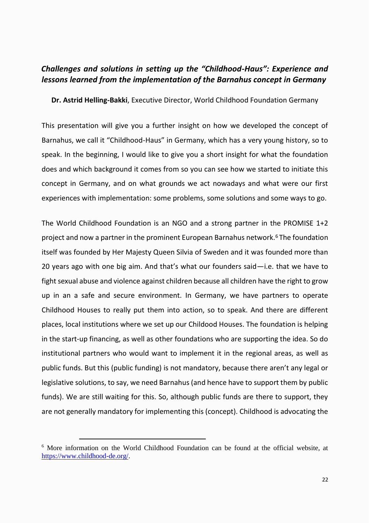## <span id="page-21-0"></span>*Challenges and solutions in setting up the "Childhood-Haus": Experience and lessons learned from the implementation of the Barnahus concept in Germany*

**Dr. Astrid Helling-Bakki**, Executive Director, World Childhood Foundation Germany

This presentation will give you a further insight on how we developed the concept of Barnahus, we call it "Childhood-Haus" in Germany, which has a very young history, so to speak. In the beginning, I would like to give you a short insight for what the foundation does and which background it comes from so you can see how we started to initiate this concept in Germany, and on what grounds we act nowadays and what were our first experiences with implementation: some problems, some solutions and some ways to go.

The World Childhood Foundation is an NGO and a strong partner in the PROMISE 1+2 project and now a partner in the prominent European Barnahus network.<sup>6</sup> The foundation itself was founded by Her Majesty Queen Silvia of Sweden and it was founded more than 20 years ago with one big aim. And that's what our founders said—i.e. that we have to fight sexual abuse and violence against children because all children have the right to grow up in an a safe and secure environment. In Germany, we have partners to operate Childhood Houses to really put them into action, so to speak. And there are different places, local institutions where we set up our Childood Houses. The foundation is helping in the start-up financing, as well as other foundations who are supporting the idea. So do institutional partners who would want to implement it in the regional areas, as well as public funds. But this (public funding) is not mandatory, because there aren't any legal or legislative solutions, to say, we need Barnahus (and hence have to support them by public funds). We are still waiting for this. So, although public funds are there to support, they are not generally mandatory for implementing this (concept). Childhood is advocating the

<sup>6</sup> More information on the World Childhood Foundation can be found at the official website, at [https://www.childhood-de.org/.](https://www.childhood-de.org/)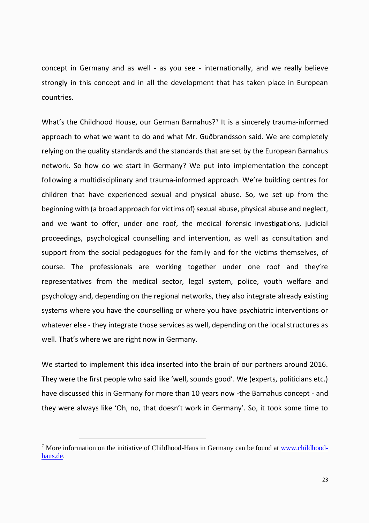concept in Germany and as well - as you see - internationally, and we really believe strongly in this concept and in all the development that has taken place in European countries.

What's the Childhood House, our German Barnahus?<sup>7</sup> It is a sincerely trauma-informed approach to what we want to do and what Mr. Guðbrandsson said. We are completely relying on the quality standards and the standards that are set by the European Barnahus network. So how do we start in Germany? We put into implementation the concept following a multidisciplinary and trauma-informed approach. We're building centres for children that have experienced sexual and physical abuse. So, we set up from the beginning with (a broad approach for victims of) sexual abuse, physical abuse and neglect, and we want to offer, under one roof, the medical forensic investigations, judicial proceedings, psychological counselling and intervention, as well as consultation and support from the social pedagogues for the family and for the victims themselves, of course. The professionals are working together under one roof and they're representatives from the medical sector, legal system, police, youth welfare and psychology and, depending on the regional networks, they also integrate already existing systems where you have the counselling or where you have psychiatric interventions or whatever else - they integrate those services as well, depending on the local structures as well. That's where we are right now in Germany.

We started to implement this idea inserted into the brain of our partners around 2016. They were the first people who said like 'well, sounds good'. We (experts, politicians etc.) have discussed this in Germany for more than 10 years now -the Barnahus concept - and they were always like 'Oh, no, that doesn't work in Germany'. So, it took some time to

<sup>&</sup>lt;sup>7</sup> More information on the initiative of Childhood-Haus in Germany can be found a[t www.childhood](http://www.childhood-haus.de/)[haus.de.](http://www.childhood-haus.de/)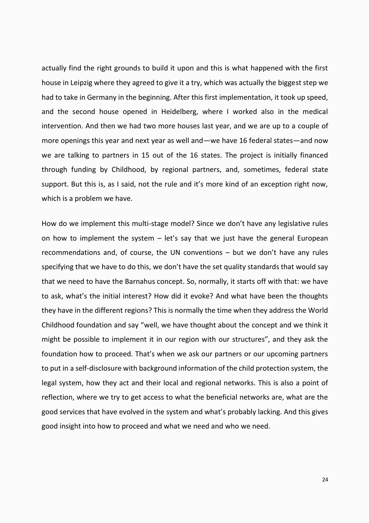actually find the right grounds to build it upon and this is what happened with the first house in Leipzig where they agreed to give it a try, which was actually the biggest step we had to take in Germany in the beginning. After this first implementation, it took up speed, and the second house opened in Heidelberg, where I worked also in the medical intervention. And then we had two more houses last year, and we are up to a couple of more openings this year and next year as well and—we have 16 federal states—and now we are talking to partners in 15 out of the 16 states. The project is initially financed through funding by Childhood, by regional partners, and, sometimes, federal state support. But this is, as I said, not the rule and it's more kind of an exception right now, which is a problem we have.

How do we implement this multi-stage model? Since we don't have any legislative rules on how to implement the system  $-$  let's say that we just have the general European recommendations and, of course, the UN conventions – but we don't have any rules specifying that we have to do this, we don't have the set quality standards that would say that we need to have the Barnahus concept. So, normally, it starts off with that: we have to ask, what's the initial interest? How did it evoke? And what have been the thoughts they have in the different regions? This is normally the time when they address the World Childhood foundation and say "well, we have thought about the concept and we think it might be possible to implement it in our region with our structures", and they ask the foundation how to proceed. That's when we ask our partners or our upcoming partners to put in a self-disclosure with background information of the child protection system, the legal system, how they act and their local and regional networks. This is also a point of reflection, where we try to get access to what the beneficial networks are, what are the good services that have evolved in the system and what's probably lacking. And this gives good insight into how to proceed and what we need and who we need.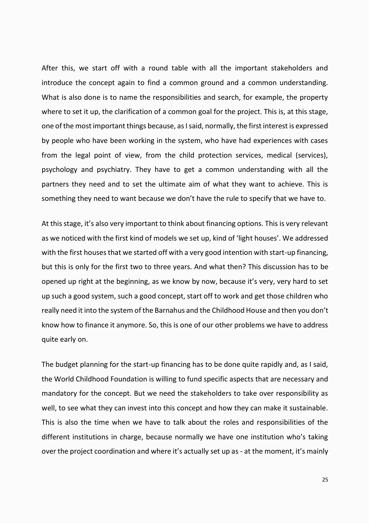After this, we start off with a round table with all the important stakeholders and introduce the concept again to find a common ground and a common understanding. What is also done is to name the responsibilities and search, for example, the property where to set it up, the clarification of a common goal for the project. This is, at this stage, one of the most important things because, as I said, normally, the first interest is expressed by people who have been working in the system, who have had experiences with cases from the legal point of view, from the child protection services, medical (services), psychology and psychiatry. They have to get a common understanding with all the partners they need and to set the ultimate aim of what they want to achieve. This is something they need to want because we don't have the rule to specify that we have to.

At this stage, it's also very important to think about financing options. This is very relevant as we noticed with the first kind of models we set up, kind of 'light houses'. We addressed with the first houses that we started off with a very good intention with start-up financing, but this is only for the first two to three years. And what then? This discussion has to be opened up right at the beginning, as we know by now, because it's very, very hard to set up such a good system, such a good concept, start off to work and get those children who really need it into the system of the Barnahus and the Childhood House and then you don't know how to finance it anymore. So, this is one of our other problems we have to address quite early on.

The budget planning for the start-up financing has to be done quite rapidly and, as I said, the World Childhood Foundation is willing to fund specific aspects that are necessary and mandatory for the concept. But we need the stakeholders to take over responsibility as well, to see what they can invest into this concept and how they can make it sustainable. This is also the time when we have to talk about the roles and responsibilities of the different institutions in charge, because normally we have one institution who's taking over the project coordination and where it's actually set up as - at the moment, it's mainly

25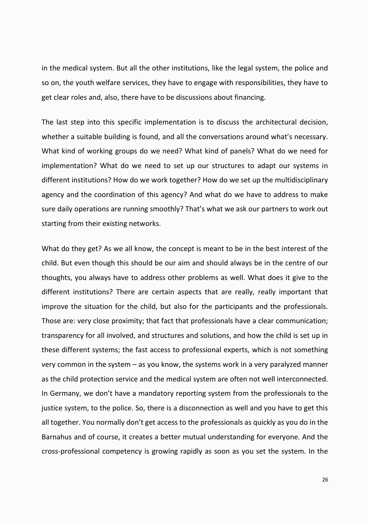in the medical system. But all the other institutions, like the legal system, the police and so on, the youth welfare services, they have to engage with responsibilities, they have to get clear roles and, also, there have to be discussions about financing.

The last step into this specific implementation is to discuss the architectural decision, whether a suitable building is found, and all the conversations around what's necessary. What kind of working groups do we need? What kind of panels? What do we need for implementation? What do we need to set up our structures to adapt our systems in different institutions? How do we work together? How do we set up the multidisciplinary agency and the coordination of this agency? And what do we have to address to make sure daily operations are running smoothly? That's what we ask our partners to work out starting from their existing networks.

What do they get? As we all know, the concept is meant to be in the best interest of the child. But even though this should be our aim and should always be in the centre of our thoughts, you always have to address other problems as well. What does it give to the different institutions? There are certain aspects that are really, really important that improve the situation for the child, but also for the participants and the professionals. Those are: very close proximity; that fact that professionals have a clear communication; transparency for all involved, and structures and solutions, and how the child is set up in these different systems; the fast access to professional experts, which is not something very common in the system – as you know, the systems work in a very paralyzed manner as the child protection service and the medical system are often not well interconnected. In Germany, we don't have a mandatory reporting system from the professionals to the justice system, to the police. So, there is a disconnection as well and you have to get this all together. You normally don't get access to the professionals as quickly as you do in the Barnahus and of course, it creates a better mutual understanding for everyone. And the cross-professional competency is growing rapidly as soon as you set the system. In the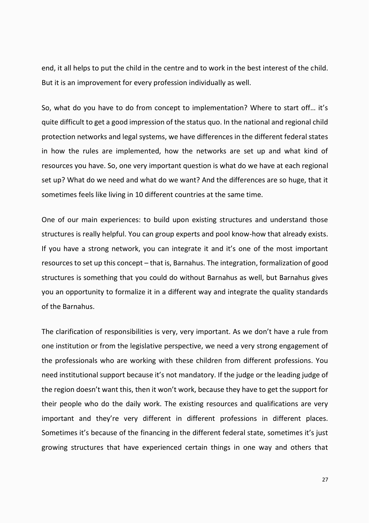end, it all helps to put the child in the centre and to work in the best interest of the child. But it is an improvement for every profession individually as well.

So, what do you have to do from concept to implementation? Where to start off... it's quite difficult to get a good impression of the status quo. In the national and regional child protection networks and legal systems, we have differences in the different federal states in how the rules are implemented, how the networks are set up and what kind of resources you have. So, one very important question is what do we have at each regional set up? What do we need and what do we want? And the differences are so huge, that it sometimes feels like living in 10 different countries at the same time.

One of our main experiences: to build upon existing structures and understand those structures is really helpful. You can group experts and pool know-how that already exists. If you have a strong network, you can integrate it and it's one of the most important resources to set up this concept – that is, Barnahus. The integration, formalization of good structures is something that you could do without Barnahus as well, but Barnahus gives you an opportunity to formalize it in a different way and integrate the quality standards of the Barnahus.

The clarification of responsibilities is very, very important. As we don't have a rule from one institution or from the legislative perspective, we need a very strong engagement of the professionals who are working with these children from different professions. You need institutional support because it's not mandatory. If the judge or the leading judge of the region doesn't want this, then it won't work, because they have to get the support for their people who do the daily work. The existing resources and qualifications are very important and they're very different in different professions in different places. Sometimes it's because of the financing in the different federal state, sometimes it's just growing structures that have experienced certain things in one way and others that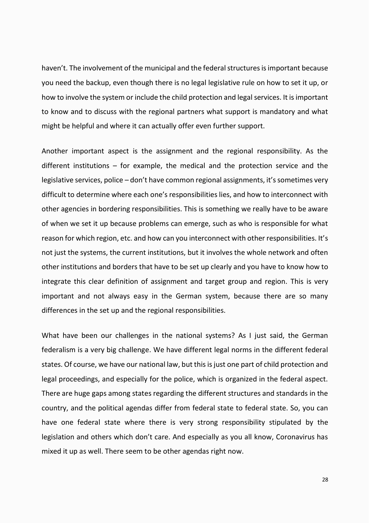haven't. The involvement of the municipal and the federal structures is important because you need the backup, even though there is no legal legislative rule on how to set it up, or how to involve the system or include the child protection and legal services. It is important to know and to discuss with the regional partners what support is mandatory and what might be helpful and where it can actually offer even further support.

Another important aspect is the assignment and the regional responsibility. As the different institutions – for example, the medical and the protection service and the legislative services, police – don't have common regional assignments, it's sometimes very difficult to determine where each one's responsibilities lies, and how to interconnect with other agencies in bordering responsibilities. This is something we really have to be aware of when we set it up because problems can emerge, such as who is responsible for what reason for which region, etc. and how can you interconnect with other responsibilities. It's not just the systems, the current institutions, but it involves the whole network and often other institutions and borders that have to be set up clearly and you have to know how to integrate this clear definition of assignment and target group and region. This is very important and not always easy in the German system, because there are so many differences in the set up and the regional responsibilities.

What have been our challenges in the national systems? As I just said, the German federalism is a very big challenge. We have different legal norms in the different federal states. Of course, we have our national law, but this is just one part of child protection and legal proceedings, and especially for the police, which is organized in the federal aspect. There are huge gaps among states regarding the different structures and standards in the country, and the political agendas differ from federal state to federal state. So, you can have one federal state where there is very strong responsibility stipulated by the legislation and others which don't care. And especially as you all know, Coronavirus has mixed it up as well. There seem to be other agendas right now.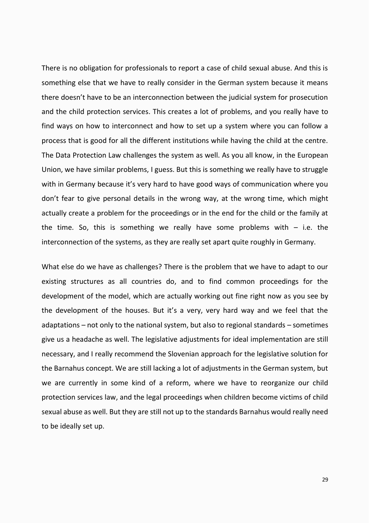There is no obligation for professionals to report a case of child sexual abuse. And this is something else that we have to really consider in the German system because it means there doesn't have to be an interconnection between the judicial system for prosecution and the child protection services. This creates a lot of problems, and you really have to find ways on how to interconnect and how to set up a system where you can follow a process that is good for all the different institutions while having the child at the centre. The Data Protection Law challenges the system as well. As you all know, in the European Union, we have similar problems, I guess. But this is something we really have to struggle with in Germany because it's very hard to have good ways of communication where you don't fear to give personal details in the wrong way, at the wrong time, which might actually create a problem for the proceedings or in the end for the child or the family at the time. So, this is something we really have some problems with  $-$  i.e. the interconnection of the systems, as they are really set apart quite roughly in Germany.

What else do we have as challenges? There is the problem that we have to adapt to our existing structures as all countries do, and to find common proceedings for the development of the model, which are actually working out fine right now as you see by the development of the houses. But it's a very, very hard way and we feel that the adaptations – not only to the national system, but also to regional standards – sometimes give us a headache as well. The legislative adjustments for ideal implementation are still necessary, and I really recommend the Slovenian approach for the legislative solution for the Barnahus concept. We are still lacking a lot of adjustments in the German system, but we are currently in some kind of a reform, where we have to reorganize our child protection services law, and the legal proceedings when children become victims of child sexual abuse as well. But they are still not up to the standards Barnahus would really need to be ideally set up.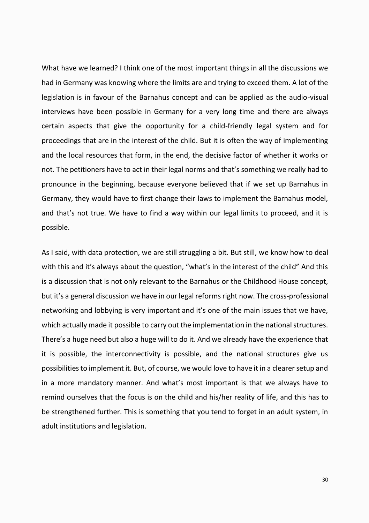What have we learned? I think one of the most important things in all the discussions we had in Germany was knowing where the limits are and trying to exceed them. A lot of the legislation is in favour of the Barnahus concept and can be applied as the audio-visual interviews have been possible in Germany for a very long time and there are always certain aspects that give the opportunity for a child-friendly legal system and for proceedings that are in the interest of the child. But it is often the way of implementing and the local resources that form, in the end, the decisive factor of whether it works or not. The petitioners have to act in their legal norms and that's something we really had to pronounce in the beginning, because everyone believed that if we set up Barnahus in Germany, they would have to first change their laws to implement the Barnahus model, and that's not true. We have to find a way within our legal limits to proceed, and it is possible.

As I said, with data protection, we are still struggling a bit. But still, we know how to deal with this and it's always about the question, "what's in the interest of the child" And this is a discussion that is not only relevant to the Barnahus or the Childhood House concept, but it's a general discussion we have in our legal reforms right now. The cross-professional networking and lobbying is very important and it's one of the main issues that we have, which actually made it possible to carry out the implementation in the national structures. There's a huge need but also a huge will to do it. And we already have the experience that it is possible, the interconnectivity is possible, and the national structures give us possibilities to implement it. But, of course, we would love to have it in a clearer setup and in a more mandatory manner. And what's most important is that we always have to remind ourselves that the focus is on the child and his/her reality of life, and this has to be strengthened further. This is something that you tend to forget in an adult system, in adult institutions and legislation.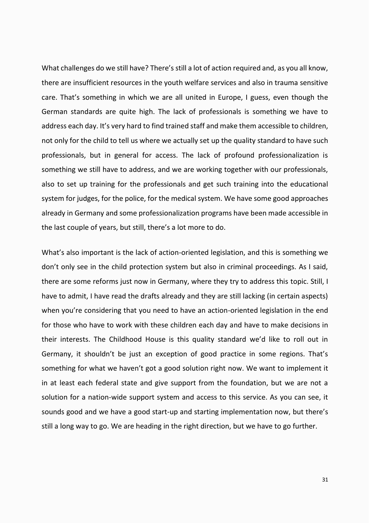What challenges do we still have? There's still a lot of action required and, as you all know. there are insufficient resources in the youth welfare services and also in trauma sensitive care. That's something in which we are all united in Europe, I guess, even though the German standards are quite high. The lack of professionals is something we have to address each day. It's very hard to find trained staff and make them accessible to children, not only for the child to tell us where we actually set up the quality standard to have such professionals, but in general for access. The lack of profound professionalization is something we still have to address, and we are working together with our professionals, also to set up training for the professionals and get such training into the educational system for judges, for the police, for the medical system. We have some good approaches already in Germany and some professionalization programs have been made accessible in the last couple of years, but still, there's a lot more to do.

What's also important is the lack of action-oriented legislation, and this is something we don't only see in the child protection system but also in criminal proceedings. As I said, there are some reforms just now in Germany, where they try to address this topic. Still, I have to admit, I have read the drafts already and they are still lacking (in certain aspects) when you're considering that you need to have an action-oriented legislation in the end for those who have to work with these children each day and have to make decisions in their interests. The Childhood House is this quality standard we'd like to roll out in Germany, it shouldn't be just an exception of good practice in some regions. That's something for what we haven't got a good solution right now. We want to implement it in at least each federal state and give support from the foundation, but we are not a solution for a nation-wide support system and access to this service. As you can see, it sounds good and we have a good start-up and starting implementation now, but there's still a long way to go. We are heading in the right direction, but we have to go further.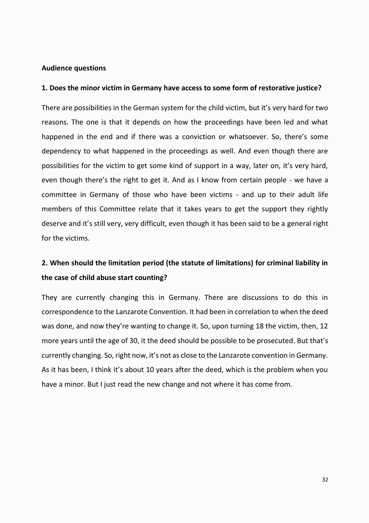### **Audience questions**

### **1. Does the minor victim in Germany have access to some form of restorative justice?**

There are possibilities in the German system for the child victim, but it's very hard for two reasons. The one is that it depends on how the proceedings have been led and what happened in the end and if there was a conviction or whatsoever. So, there's some dependency to what happened in the proceedings as well. And even though there are possibilities for the victim to get some kind of support in a way, later on, it's very hard, even though there's the right to get it. And as I know from certain people - we have a committee in Germany of those who have been victims - and up to their adult life members of this Committee relate that it takes years to get the support they rightly deserve and it's still very, very difficult, even though it has been said to be a general right for the victims.

## **2. When should the limitation period (the statute of limitations) for criminal liability in the case of child abuse start counting?**

They are currently changing this in Germany. There are discussions to do this in correspondence to the Lanzarote Convention. It had been in correlation to when the deed was done, and now they're wanting to change it. So, upon turning 18 the victim, then, 12 more years until the age of 30, it the deed should be possible to be prosecuted. But that's currently changing. So, right now, it's not as close to the Lanzarote convention in Germany. As it has been, I think it's about 10 years after the deed, which is the problem when you have a minor. But I just read the new change and not where it has come from.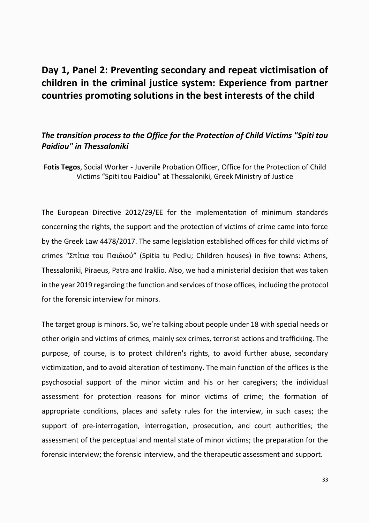# <span id="page-32-0"></span>**Day 1, Panel 2: Preventing secondary and repeat victimisation of children in the criminal justice system: Experience from partner countries promoting solutions in the best interests of the child**

### <span id="page-32-1"></span>*The transition process to the Office for the Protection of Child Victims "Spiti tou Paidiou" in Thessaloniki*

**Fotis Tegos**, Social Worker - Juvenile Probation Officer, Office for the Protection of Child Victims "Spiti tou Paidiou" at Thessaloniki, Greek Ministry of Justice

The European Directive 2012/29/ΕΕ for the implementation of minimum standards concerning the rights, the support and the protection of victims of crime came into force by the Greek Law 4478/2017. The same legislation established offices for child victims of crimes "Σπίτια του Παιδιού" (Spitia tu Pediu; Children houses) in five towns: Athens, Thessaloniki, Piraeus, Patra and Iraklio. Also, we had a ministerial decision that was taken in the year 2019 regarding the function and services of those offices, including the protocol for the forensic interview for minors.

The target group is minors. So, we're talking about people under 18 with special needs or other origin and victims of crimes, mainly sex crimes, terrorist actions and trafficking. The purpose, of course, is to protect children's rights, to avoid further abuse, secondary victimization, and to avoid alteration of testimony. The main function of the offices is the psychosocial support of the minor victim and his or her caregivers; the individual assessment for protection reasons for minor victims of crime; the formation of appropriate conditions, places and safety rules for the interview, in such cases; the support of pre-interrogation, interrogation, prosecution, and court authorities; the assessment of the perceptual and mental state of minor victims; the preparation for the forensic interview; the forensic interview, and the therapeutic assessment and support.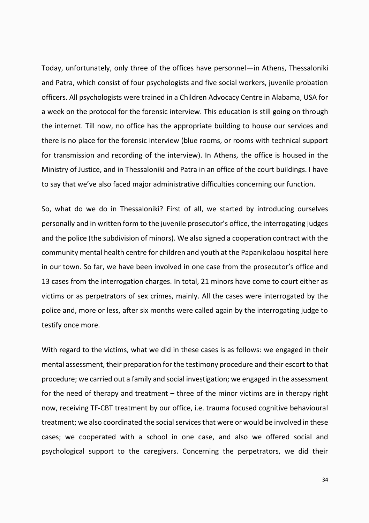Today, unfortunately, only three of the offices have personnel—in Athens, Thessaloniki and Patra, which consist of four psychologists and five social workers, juvenile probation officers. All psychologists were trained in a Children Advocacy Centre in Alabama, USA for a week on the protocol for the forensic interview. This education is still going on through the internet. Till now, no office has the appropriate building to house our services and there is no place for the forensic interview (blue rooms, or rooms with technical support for transmission and recording of the interview). In Athens, the office is housed in the Ministry of Justice, and in Thessaloniki and Patra in an office of the court buildings. I have to say that we've also faced major administrative difficulties concerning our function.

So, what do we do in Thessaloniki? First of all, we started by introducing ourselves personally and in written form to the juvenile prosecutor's office, the interrogating judges and the police (the subdivision of minors). We also signed a cooperation contract with the community mental health centre for children and youth at the Papanikolaou hospital here in our town. So far, we have been involved in one case from the prosecutor's office and 13 cases from the interrogation charges. In total, 21 minors have come to court either as victims or as perpetrators of sex crimes, mainly. All the cases were interrogated by the police and, more or less, after six months were called again by the interrogating judge to testify once more.

With regard to the victims, what we did in these cases is as follows: we engaged in their mental assessment, their preparation for the testimony procedure and their escort to that procedure; we carried out a family and social investigation; we engaged in the assessment for the need of therapy and treatment – three of the minor victims are in therapy right now, receiving TF-CBT treatment by our office, i.e. trauma focused cognitive behavioural treatment; we also coordinated the social services that were or would be involved in these cases; we cooperated with a school in one case, and also we offered social and psychological support to the caregivers. Concerning the perpetrators, we did their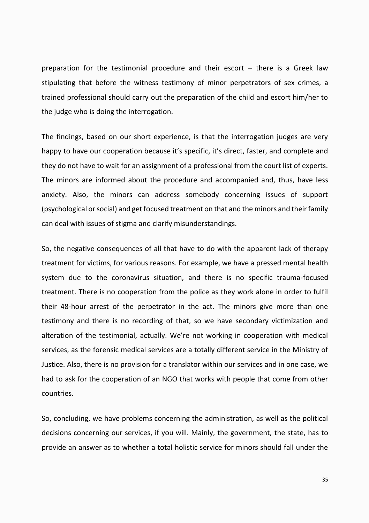preparation for the testimonial procedure and their escort – there is a Greek law stipulating that before the witness testimony of minor perpetrators of sex crimes, a trained professional should carry out the preparation of the child and escort him/her to the judge who is doing the interrogation.

The findings, based on our short experience, is that the interrogation judges are very happy to have our cooperation because it's specific, it's direct, faster, and complete and they do not have to wait for an assignment of a professional from the court list of experts. The minors are informed about the procedure and accompanied and, thus, have less anxiety. Also, the minors can address somebody concerning issues of support (psychological or social) and get focused treatment on that and the minors and their family can deal with issues of stigma and clarify misunderstandings.

So, the negative consequences of all that have to do with the apparent lack of therapy treatment for victims, for various reasons. For example, we have a pressed mental health system due to the coronavirus situation, and there is no specific trauma-focused treatment. There is no cooperation from the police as they work alone in order to fulfil their 48-hour arrest of the perpetrator in the act. The minors give more than one testimony and there is no recording of that, so we have secondary victimization and alteration of the testimonial, actually. We're not working in cooperation with medical services, as the forensic medical services are a totally different service in the Ministry of Justice. Also, there is no provision for a translator within our services and in one case, we had to ask for the cooperation of an NGO that works with people that come from other countries.

So, concluding, we have problems concerning the administration, as well as the political decisions concerning our services, if you will. Mainly, the government, the state, has to provide an answer as to whether a total holistic service for minors should fall under the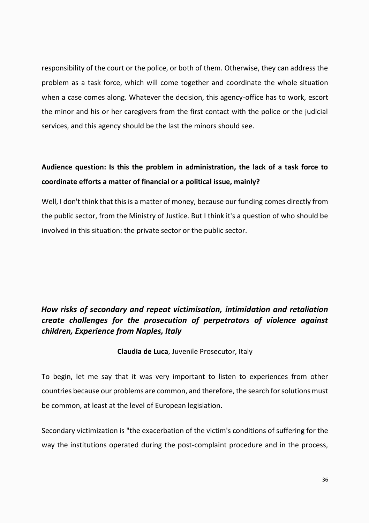responsibility of the court or the police, or both of them. Otherwise, they can address the problem as a task force, which will come together and coordinate the whole situation when a case comes along. Whatever the decision, this agency-office has to work, escort the minor and his or her caregivers from the first contact with the police or the judicial services, and this agency should be the last the minors should see.

## **Audience question: Is this the problem in administration, the lack of a task force to coordinate efforts a matter of financial or a political issue, mainly?**

Well, I don't think that this is a matter of money, because our funding comes directly from the public sector, from the Ministry of Justice. But I think it's a question of who should be involved in this situation: the private sector or the public sector.

## <span id="page-35-0"></span>*How risks of secondary and repeat victimisation, intimidation and retaliation create challenges for the prosecution of perpetrators of violence against children, Experience from Naples, Italy*

**Claudia de Luca**, Juvenile Prosecutor, Italy

To begin, let me say that it was very important to listen to experiences from other countries because our problems are common, and therefore, the search for solutions must be common, at least at the level of European legislation.

Secondary victimization is "the exacerbation of the victim's conditions of suffering for the way the institutions operated during the post-complaint procedure and in the process,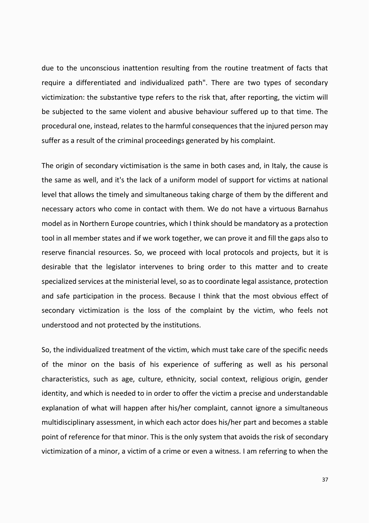due to the unconscious inattention resulting from the routine treatment of facts that require a differentiated and individualized path". There are two types of secondary victimization: the substantive type refers to the risk that, after reporting, the victim will be subjected to the same violent and abusive behaviour suffered up to that time. The procedural one, instead, relates to the harmful consequences that the injured person may suffer as a result of the criminal proceedings generated by his complaint.

The origin of secondary victimisation is the same in both cases and, in Italy, the cause is the same as well, and it's the lack of a uniform model of support for victims at national level that allows the timely and simultaneous taking charge of them by the different and necessary actors who come in contact with them. We do not have a virtuous Barnahus model as in Northern Europe countries, which I think should be mandatory as a protection tool in all member states and if we work together, we can prove it and fill the gaps also to reserve financial resources. So, we proceed with local protocols and projects, but it is desirable that the legislator intervenes to bring order to this matter and to create specialized services at the ministerial level, so as to coordinate legal assistance, protection and safe participation in the process. Because I think that the most obvious effect of secondary victimization is the loss of the complaint by the victim, who feels not understood and not protected by the institutions.

So, the individualized treatment of the victim, which must take care of the specific needs of the minor on the basis of his experience of suffering as well as his personal characteristics, such as age, culture, ethnicity, social context, religious origin, gender identity, and which is needed to in order to offer the victim a precise and understandable explanation of what will happen after his/her complaint, cannot ignore a simultaneous multidisciplinary assessment, in which each actor does his/her part and becomes a stable point of reference for that minor. This is the only system that avoids the risk of secondary victimization of a minor, a victim of a crime or even a witness. I am referring to when the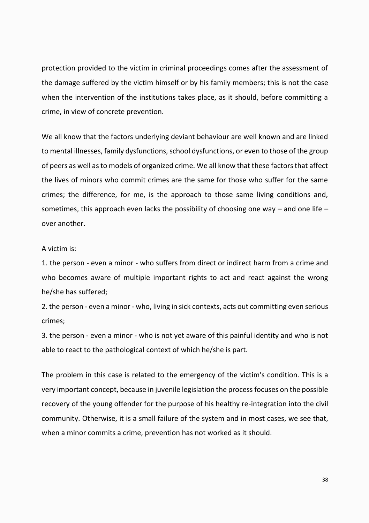protection provided to the victim in criminal proceedings comes after the assessment of the damage suffered by the victim himself or by his family members; this is not the case when the intervention of the institutions takes place, as it should, before committing a crime, in view of concrete prevention.

We all know that the factors underlying deviant behaviour are well known and are linked to mental illnesses, family dysfunctions, school dysfunctions, or even to those of the group of peers as well as to models of organized crime. We all know that these factors that affect the lives of minors who commit crimes are the same for those who suffer for the same crimes; the difference, for me, is the approach to those same living conditions and, sometimes, this approach even lacks the possibility of choosing one way – and one life – over another.

#### A victim is:

1. the person - even a minor - who suffers from direct or indirect harm from a crime and who becomes aware of multiple important rights to act and react against the wrong he/she has suffered;

2. the person - even a minor - who, living in sick contexts, acts out committing even serious crimes;

3. the person - even a minor - who is not yet aware of this painful identity and who is not able to react to the pathological context of which he/she is part.

The problem in this case is related to the emergency of the victim's condition. This is a very important concept, because in juvenile legislation the process focuses on the possible recovery of the young offender for the purpose of his healthy re-integration into the civil community. Otherwise, it is a small failure of the system and in most cases, we see that, when a minor commits a crime, prevention has not worked as it should.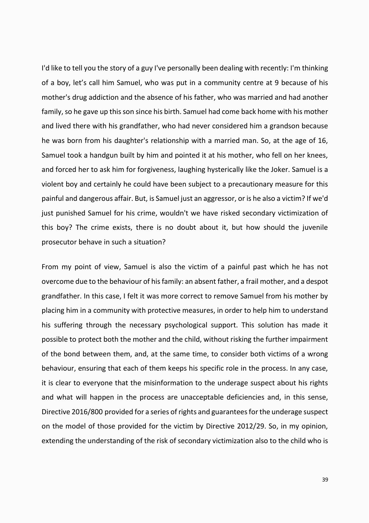I'd like to tell you the story of a guy I've personally been dealing with recently: I'm thinking of a boy, let's call him Samuel, who was put in a community centre at 9 because of his mother's drug addiction and the absence of his father, who was married and had another family, so he gave up this son since his birth. Samuel had come back home with his mother and lived there with his grandfather, who had never considered him a grandson because he was born from his daughter's relationship with a married man. So, at the age of 16, Samuel took a handgun built by him and pointed it at his mother, who fell on her knees, and forced her to ask him for forgiveness, laughing hysterically like the Joker. Samuel is a violent boy and certainly he could have been subject to a precautionary measure for this painful and dangerous affair. But, is Samuel just an aggressor, or is he also a victim? If we'd just punished Samuel for his crime, wouldn't we have risked secondary victimization of this boy? The crime exists, there is no doubt about it, but how should the juvenile prosecutor behave in such a situation?

From my point of view, Samuel is also the victim of a painful past which he has not overcome due to the behaviour of his family: an absent father, a frail mother, and a despot grandfather. In this case, I felt it was more correct to remove Samuel from his mother by placing him in a community with protective measures, in order to help him to understand his suffering through the necessary psychological support. This solution has made it possible to protect both the mother and the child, without risking the further impairment of the bond between them, and, at the same time, to consider both victims of a wrong behaviour, ensuring that each of them keeps his specific role in the process. In any case, it is clear to everyone that the misinformation to the underage suspect about his rights and what will happen in the process are unacceptable deficiencies and, in this sense, Directive 2016/800 provided for a series of rights and guarantees for the underage suspect on the model of those provided for the victim by Directive 2012/29. So, in my opinion, extending the understanding of the risk of secondary victimization also to the child who is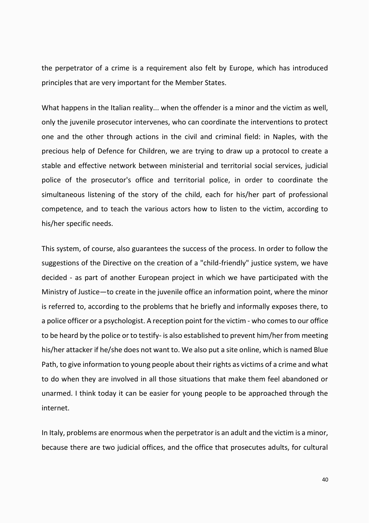the perpetrator of a crime is a requirement also felt by Europe, which has introduced principles that are very important for the Member States.

What happens in the Italian reality... when the offender is a minor and the victim as well, only the juvenile prosecutor intervenes, who can coordinate the interventions to protect one and the other through actions in the civil and criminal field: in Naples, with the precious help of Defence for Children, we are trying to draw up a protocol to create a stable and effective network between ministerial and territorial social services, judicial police of the prosecutor's office and territorial police, in order to coordinate the simultaneous listening of the story of the child, each for his/her part of professional competence, and to teach the various actors how to listen to the victim, according to his/her specific needs.

This system, of course, also guarantees the success of the process. In order to follow the suggestions of the Directive on the creation of a "child-friendly" justice system, we have decided - as part of another European project in which we have participated with the Ministry of Justice—to create in the juvenile office an information point, where the minor is referred to, according to the problems that he briefly and informally exposes there, to a police officer or a psychologist. A reception point for the victim - who comes to our office to be heard by the police or to testify- is also established to prevent him/her from meeting his/her attacker if he/she does not want to. We also put a site online, which is named Blue Path, to give information to young people about their rights as victims of a crime and what to do when they are involved in all those situations that make them feel abandoned or unarmed. I think today it can be easier for young people to be approached through the internet.

In Italy, problems are enormous when the perpetrator is an adult and the victim is a minor, because there are two judicial offices, and the office that prosecutes adults, for cultural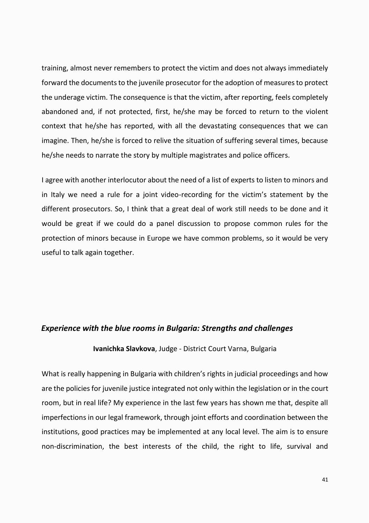training, almost never remembers to protect the victim and does not always immediately forward the documents to the juvenile prosecutor for the adoption of measures to protect the underage victim. The consequence is that the victim, after reporting, feels completely abandoned and, if not protected, first, he/she may be forced to return to the violent context that he/she has reported, with all the devastating consequences that we can imagine. Then, he/she is forced to relive the situation of suffering several times, because he/she needs to narrate the story by multiple magistrates and police officers.

I agree with another interlocutor about the need of a list of experts to listen to minors and in Italy we need a rule for a joint video-recording for the victim's statement by the different prosecutors. So, I think that a great deal of work still needs to be done and it would be great if we could do a panel discussion to propose common rules for the protection of minors because in Europe we have common problems, so it would be very useful to talk again together.

### *Experience with the blue rooms in Bulgaria: Strengths and challenges*

#### **Ivanichka Slavkova**, Judge - District Court Varna, Bulgaria

What is really happening in Bulgaria with children's rights in judicial proceedings and how are the policies for juvenile justice integrated not only within the legislation or in the court room, but in real life? My experience in the last few years has shown me that, despite all imperfections in our legal framework, through joint efforts and coordination between the institutions, good practices may be implemented at any local level. The aim is to ensure non-discrimination, the best interests of the child, the right to life, survival and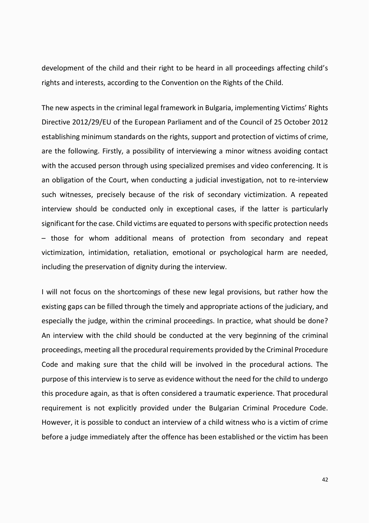development of the child and their right to be heard in all proceedings affecting child's rights and interests, according to the Convention on the Rights of the Child.

The new aspects in the criminal legal framework in Bulgaria, implementing Victims' Rights Directive 2012/29/EU of the European Parliament and of the Council of 25 October 2012 establishing minimum standards on the rights, support and protection of victims of crime, are the following. Firstly, a possibility of interviewing a minor witness avoiding contact with the accused person through using specialized premises and video conferencing. It is an obligation of the Court, when conducting a judicial investigation, not to re-interview such witnesses, precisely because of the risk of secondary victimization. A repeated interview should be conducted only in exceptional cases, if the latter is particularly significant for the case. Child victims are equated to persons with specific protection needs – those for whom additional means of protection from secondary and repeat victimization, intimidation, retaliation, emotional or psychological harm are needed, including the preservation of dignity during the interview.

I will not focus on the shortcomings of these new legal provisions, but rather how the existing gaps can be filled through the timely and appropriate actions of the judiciary, and especially the judge, within the criminal proceedings. In practice, what should be done? An interview with the child should be conducted at the very beginning of the criminal proceedings, meeting all the procedural requirements provided by the Criminal Procedure Code and making sure that the child will be involved in the procedural actions. The purpose of this interview is to serve as evidence without the need for the child to undergo this procedure again, as that is often considered a traumatic experience. That procedural requirement is not explicitly provided under the Bulgarian Criminal Procedure Code. However, it is possible to conduct an interview of a child witness who is a victim of crime before a judge immediately after the offence has been established or the victim has been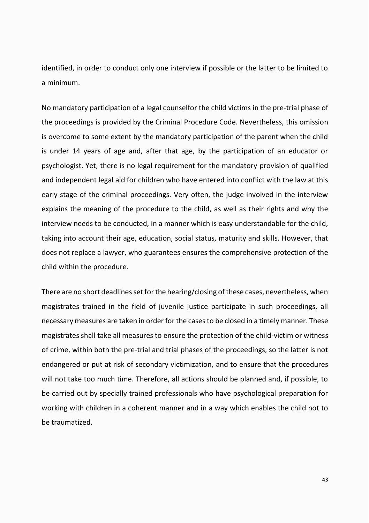identified, in order to conduct only one interview if possible or the latter to be limited to a minimum.

No mandatory participation of a legal counselfor the child victims in the pre-trial phase of the proceedings is provided by the Criminal Procedure Code. Nevertheless, this omission is overcome to some extent by the mandatory participation of the parent when the child is under 14 years of age and, after that age, by the participation of an educator or psychologist. Yet, there is no legal requirement for the mandatory provision of qualified and independent legal aid for children who have entered into conflict with the law at this early stage of the criminal proceedings. Very often, the judge involved in the interview explains the meaning of the procedure to the child, as well as their rights and why the interview needs to be conducted, in a manner which is easy understandable for the child, taking into account their age, education, social status, maturity and skills. However, that does not replace a lawyer, who guarantees ensures the comprehensive protection of the child within the procedure.

There are no short deadlines set for the hearing/closing of these cases, nevertheless, when magistrates trained in the field of juvenile justice participate in such proceedings, all necessary measures are taken in order for the cases to be closed in a timely manner. These magistrates shall take all measures to ensure the protection of the child-victim or witness of crime, within both the pre-trial and trial phases of the proceedings, so the latter is not endangered or put at risk of secondary victimization, and to ensure that the procedures will not take too much time. Therefore, all actions should be planned and, if possible, to be carried out by specially trained professionals who have psychological preparation for working with children in a coherent manner and in a way which enables the child not to be traumatized.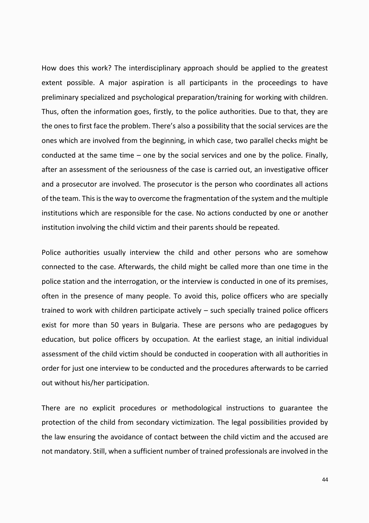How does this work? The interdisciplinary approach should be applied to the greatest extent possible. A major aspiration is all participants in the proceedings to have preliminary specialized and psychological preparation/training for working with children. Thus, often the information goes, firstly, to the police authorities. Due to that, they are the ones to first face the problem. There's also a possibility that the social services are the ones which are involved from the beginning, in which case, two parallel checks might be conducted at the same time – one by the social services and one by the police. Finally, after an assessment of the seriousness of the case is carried out, an investigative officer and a prosecutor are involved. The prosecutor is the person who coordinates all actions of the team. This is the way to overcome the fragmentation of the system and the multiple institutions which are responsible for the case. No actions conducted by one or another institution involving the child victim and their parents should be repeated.

Police authorities usually interview the child and other persons who are somehow connected to the case. Afterwards, the child might be called more than one time in the police station and the interrogation, or the interview is conducted in one of its premises, often in the presence of many people. To avoid this, police officers who are specially trained to work with children participate actively – such specially trained police officers exist for more than 50 years in Bulgaria. These are persons who are pedagogues by education, but police officers by occupation. At the earliest stage, an initial individual assessment of the child victim should be conducted in cooperation with all authorities in order for just one interview to be conducted and the procedures afterwards to be carried out without his/her participation.

There are no explicit procedures or methodological instructions to guarantee the protection of the child from secondary victimization. The legal possibilities provided by the law ensuring the avoidance of contact between the child victim and the accused are not mandatory. Still, when a sufficient number of trained professionals are involved in the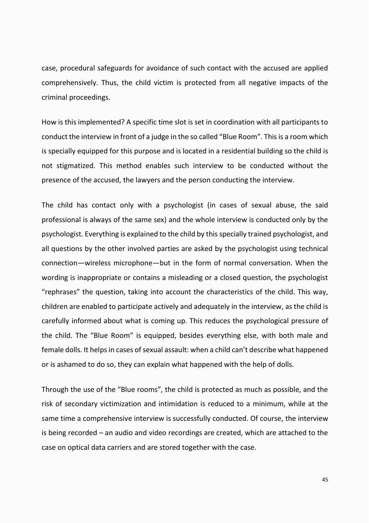case, procedural safeguards for avoidance of such contact with the accused are applied comprehensively. Thus, the child victim is protected from all negative impacts of the criminal proceedings.

How is this implemented? A specific time slot is set in coordination with all participants to conduct the interview in front of a judge in the so called "Blue Room". This is a room which is specially equipped for this purpose and is located in a residential building so the child is not stigmatized. This method enables such interview to be conducted without the presence of the accused, the lawyers and the person conducting the interview.

The child has contact only with a psychologist (in cases of sexual abuse, the said professional is always of the same sex) and the whole interview is conducted only by the psychologist. Everything is explained to the child by this specially trained psychologist, and all questions by the other involved parties are asked by the psychologist using technical connection—wireless microphone—but in the form of normal conversation. When the wording is inappropriate or contains a misleading or a closed question, the psychologist "rephrases" the question, taking into account the characteristics of the child. This way, children are enabled to participate actively and adequately in the interview, as the child is carefully informed about what is coming up. This reduces the psychological pressure of the child. The "Blue Room" is equipped, besides everything else, with both male and female dolls. It helps in cases of sexual assault: when a child can't describe what happened or is ashamed to do so, they can explain what happened with the help of dolls.

Through the use of the "Blue rooms", the child is protected as much as possible, and the risk of secondary victimization and intimidation is reduced to a minimum, while at the same time a comprehensive interview is successfully conducted. Of course, the interview is being recorded – an audio and video recordings are created, which are attached to the case on optical data carriers and are stored together with the case.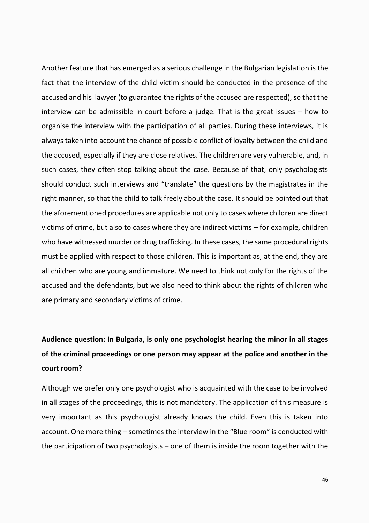Another feature that has emerged as a serious challenge in the Bulgarian legislation is the fact that the interview of the child victim should be conducted in the presence of the accused and his lawyer (to guarantee the rights of the accused are respected), so that the interview can be admissible in court before a judge. That is the great issues – how to organise the interview with the participation of all parties. During these interviews, it is always taken into account the chance of possible conflict of loyalty between the child and the accused, especially if they are close relatives. The children are very vulnerable, and, in such cases, they often stop talking about the case. Because of that, only psychologists should conduct such interviews and "translate" the questions by the magistrates in the right manner, so that the child to talk freely about the case. It should be pointed out that the aforementioned procedures are applicable not only to cases where children are direct victims of crime, but also to cases where they are indirect victims – for example, children who have witnessed murder or drug trafficking. In these cases, the same procedural rights must be applied with respect to those children. This is important as, at the end, they are all children who are young and immature. We need to think not only for the rights of the accused and the defendants, but we also need to think about the rights of children who are primary and secondary victims of crime.

# **Audience question: In Bulgaria, is only one psychologist hearing the minor in all stages of the criminal proceedings or one person may appear at the police and another in the court room?**

Although we prefer only one psychologist who is acquainted with the case to be involved in all stages of the proceedings, this is not mandatory. The application of this measure is very important as this psychologist already knows the child. Even this is taken into account. One more thing – sometimes the interview in the "Blue room" is conducted with the participation of two psychologists – one of them is inside the room together with the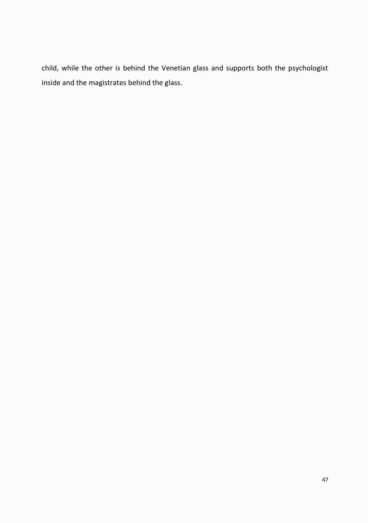child, while the other is behind the Venetian glass and supports both the psychologist inside and the magistrates behind the glass.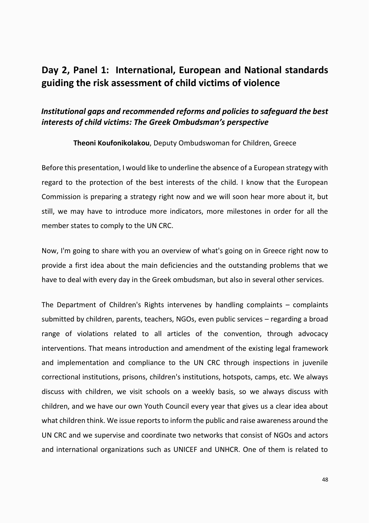# **Day 2, Panel 1: International, European and National standards guiding the risk assessment of child victims of violence**

### *Institutional gaps and recommended reforms and policies to safeguard the best interests of child victims: The Greek Ombudsman's perspective*

**Theoni Koufonikolakou**, Deputy Ombudswoman for Children, Greece

Before this presentation, I would like to underline the absence of a European strategy with regard to the protection of the best interests of the child. I know that the European Commission is preparing a strategy right now and we will soon hear more about it, but still, we may have to introduce more indicators, more milestones in order for all the member states to comply to the UN CRC.

Now, I'm going to share with you an overview of what's going on in Greece right now to provide a first idea about the main deficiencies and the outstanding problems that we have to deal with every day in the Greek ombudsman, but also in several other services.

The Department of Children's Rights intervenes by handling complaints – complaints submitted by children, parents, teachers, NGOs, even public services – regarding a broad range of violations related to all articles of the convention, through advocacy interventions. That means introduction and amendment of the existing legal framework and implementation and compliance to the UN CRC through inspections in juvenile correctional institutions, prisons, children's institutions, hotspots, camps, etc. We always discuss with children, we visit schools on a weekly basis, so we always discuss with children, and we have our own Youth Council every year that gives us a clear idea about what children think. We issue reports to inform the public and raise awareness around the UN CRC and we supervise and coordinate two networks that consist of NGOs and actors and international organizations such as UNICEF and UNHCR. One of them is related to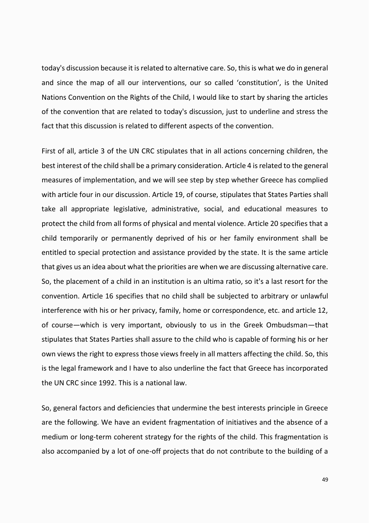today's discussion because it is related to alternative care. So, this is what we do in general and since the map of all our interventions, our so called 'constitution', is the United Nations Convention on the Rights of the Child, I would like to start by sharing the articles of the convention that are related to today's discussion, just to underline and stress the fact that this discussion is related to different aspects of the convention.

First of all, article 3 of the UN CRC stipulates that in all actions concerning children, the best interest of the child shall be a primary consideration. Article 4 is related to the general measures of implementation, and we will see step by step whether Greece has complied with article four in our discussion. Article 19, of course, stipulates that States Parties shall take all appropriate legislative, administrative, social, and educational measures to protect the child from all forms of physical and mental violence. Article 20 specifies that a child temporarily or permanently deprived of his or her family environment shall be entitled to special protection and assistance provided by the state. It is the same article that gives us an idea about what the priorities are when we are discussing alternative care. So, the placement of a child in an institution is an ultima ratio, so it's a last resort for the convention. Article 16 specifies that no child shall be subjected to arbitrary or unlawful interference with his or her privacy, family, home or correspondence, etc. and article 12, of course—which is very important, obviously to us in the Greek Ombudsman—that stipulates that States Parties shall assure to the child who is capable of forming his or her own views the right to express those views freely in all matters affecting the child. So, this is the legal framework and I have to also underline the fact that Greece has incorporated the UN CRC since 1992. This is a national law.

So, general factors and deficiencies that undermine the best interests principle in Greece are the following. We have an evident fragmentation of initiatives and the absence of a medium or long-term coherent strategy for the rights of the child. This fragmentation is also accompanied by a lot of one-off projects that do not contribute to the building of a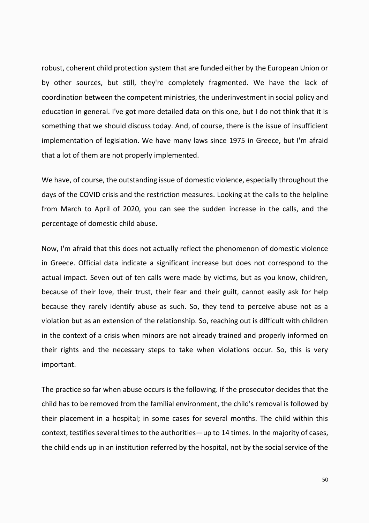robust, coherent child protection system that are funded either by the European Union or by other sources, but still, they're completely fragmented. We have the lack of coordination between the competent ministries, the underinvestment in social policy and education in general. I've got more detailed data on this one, but I do not think that it is something that we should discuss today. And, of course, there is the issue of insufficient implementation of legislation. We have many laws since 1975 in Greece, but I'm afraid that a lot of them are not properly implemented.

We have, of course, the outstanding issue of domestic violence, especially throughout the days of the COVID crisis and the restriction measures. Looking at the calls to the helpline from March to April of 2020, you can see the sudden increase in the calls, and the percentage of domestic child abuse.

Now, I'm afraid that this does not actually reflect the phenomenon of domestic violence in Greece. Official data indicate a significant increase but does not correspond to the actual impact. Seven out of ten calls were made by victims, but as you know, children, because of their love, their trust, their fear and their guilt, cannot easily ask for help because they rarely identify abuse as such. So, they tend to perceive abuse not as a violation but as an extension of the relationship. So, reaching out is difficult with children in the context of a crisis when minors are not already trained and properly informed on their rights and the necessary steps to take when violations occur. So, this is very important.

The practice so far when abuse occurs is the following. If the prosecutor decides that the child has to be removed from the familial environment, the child's removal is followed by their placement in a hospital; in some cases for several months. The child within this context, testifies several times to the authorities—up to 14 times. In the majority of cases, the child ends up in an institution referred by the hospital, not by the social service of the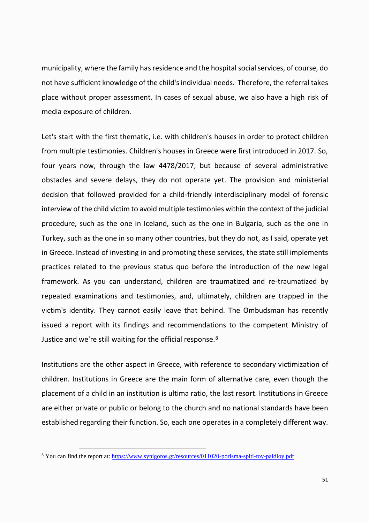municipality, where the family has residence and the hospital social services, of course, do not have sufficient knowledge of the child's individual needs. Therefore, the referral takes place without proper assessment. In cases of sexual abuse, we also have a high risk of media exposure of children.

Let's start with the first thematic, i.e. with children's houses in order to protect children from multiple testimonies. Children's houses in Greece were first introduced in 2017. So, four years now, through the law 4478/2017; but because of several administrative obstacles and severe delays, they do not operate yet. The provision and ministerial decision that followed provided for a child-friendly interdisciplinary model of forensic interview of the child victim to avoid multiple testimonies within the context of the judicial procedure, such as the one in Iceland, such as the one in Bulgaria, such as the one in Turkey, such as the one in so many other countries, but they do not, as I said, operate yet in Greece. Instead of investing in and promoting these services, the state still implements practices related to the previous status quo before the introduction of the new legal framework. As you can understand, children are traumatized and re-traumatized by repeated examinations and testimonies, and, ultimately, children are trapped in the victim's identity. They cannot easily leave that behind. The Ombudsman has recently issued a report with its findings and recommendations to the competent Ministry of Justice and we're still waiting for the official response.<sup>8</sup>

Institutions are the other aspect in Greece, with reference to secondary victimization of children. Institutions in Greece are the main form of alternative care, even though the placement of a child in an institution is ultima ratio, the last resort. Institutions in Greece are either private or public or belong to the church and no national standards have been established regarding their function. So, each one operates in a completely different way.

<sup>8</sup> You can find the report at: <https://www.synigoros.gr/resources/011020-porisma-spiti-toy-paidioy.pdf>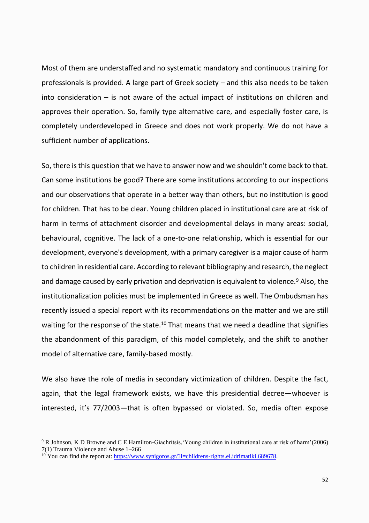Most of them are understaffed and no systematic mandatory and continuous training for professionals is provided. A large part of Greek society – and this also needs to be taken into consideration – is not aware of the actual impact of institutions on children and approves their operation. So, family type alternative care, and especially foster care, is completely underdeveloped in Greece and does not work properly. We do not have a sufficient number of applications.

So, there is this question that we have to answer now and we shouldn't come back to that. Can some institutions be good? There are some institutions according to our inspections and our observations that operate in a better way than others, but no institution is good for children. That has to be clear. Young children placed in institutional care are at risk of harm in terms of attachment disorder and developmental delays in many areas: social, behavioural, cognitive. The lack of a one-to-one relationship, which is essential for our development, everyone's development, with a primary caregiver is a major cause of harm to children in residential care. According to relevant bibliography and research, the neglect and damage caused by early privation and deprivation is equivalent to violence.<sup>9</sup> Also, the institutionalization policies must be implemented in Greece as well. The Ombudsman has recently issued a special report with its recommendations on the matter and we are still waiting for the response of the state.<sup>10</sup> That means that we need a deadline that signifies the abandonment of this paradigm, of this model completely, and the shift to another model of alternative care, family-based mostly.

We also have the role of media in secondary victimization of children. Despite the fact, again, that the legal framework exists, we have this presidential decree—whoever is interested, it's 77/2003—that is often bypassed or violated. So, media often expose

<sup>9</sup> R Johnson, K D Browne and C E Hamilton-Giachritsis,'Young children in institutional care at risk of harm'(2006) 7(1) Trauma Violence and Abuse 1–266

<sup>&</sup>lt;sup>10</sup> You can find the report at[: https://www.synigoros.gr/?i=childrens-rights.el.idrimatiki.689678.](https://www.synigoros.gr/?i=childrens-rights.el.idrimatiki.689678)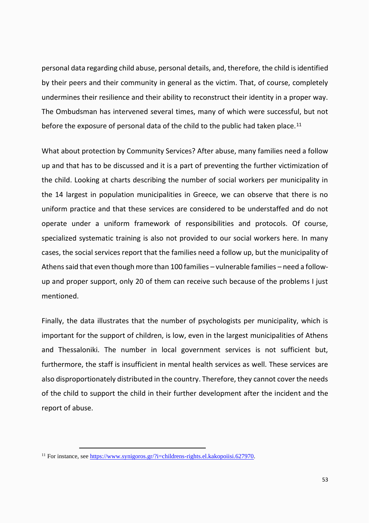personal data regarding child abuse, personal details, and, therefore, the child is identified by their peers and their community in general as the victim. That, of course, completely undermines their resilience and their ability to reconstruct their identity in a proper way. The Ombudsman has intervened several times, many of which were successful, but not before the exposure of personal data of the child to the public had taken place.<sup>11</sup>

What about protection by Community Services? After abuse, many families need a follow up and that has to be discussed and it is a part of preventing the further victimization of the child. Looking at charts describing the number of social workers per municipality in the 14 largest in population municipalities in Greece, we can observe that there is no uniform practice and that these services are considered to be understaffed and do not operate under a uniform framework of responsibilities and protocols. Of course, specialized systematic training is also not provided to our social workers here. In many cases, the social services report that the families need a follow up, but the municipality of Athens said that even though more than 100 families – vulnerable families – need a followup and proper support, only 20 of them can receive such because of the problems I just mentioned.

Finally, the data illustrates that the number of psychologists per municipality, which is important for the support of children, is low, even in the largest municipalities of Athens and Thessaloniki. The number in local government services is not sufficient but, furthermore, the staff is insufficient in mental health services as well. These services are also disproportionately distributed in the country. Therefore, they cannot cover the needs of the child to support the child in their further development after the incident and the report of abuse.

 $11$  For instance, se[e https://www.synigoros.gr/?i=childrens-rights.el.kakopoiisi.627970.](https://www.synigoros.gr/?i=childrens-rights.el.kakopoiisi.627970)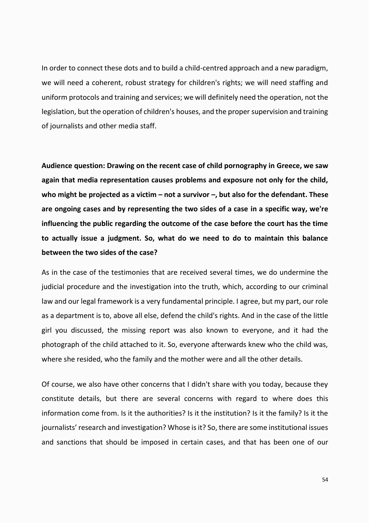In order to connect these dots and to build a child-centred approach and a new paradigm, we will need a coherent, robust strategy for children's rights; we will need staffing and uniform protocols and training and services; we will definitely need the operation, not the legislation, but the operation of children's houses, and the proper supervision and training of journalists and other media staff.

**Audience question: Drawing on the recent case of child pornography in Greece, we saw again that media representation causes problems and exposure not only for the child, who might be projected as a victim – not a survivor –, but also for the defendant. These are ongoing cases and by representing the two sides of a case in a specific way, we're influencing the public regarding the outcome of the case before the court has the time to actually issue a judgment. So, what do we need to do to maintain this balance between the two sides of the case?**

As in the case of the testimonies that are received several times, we do undermine the judicial procedure and the investigation into the truth, which, according to our criminal law and our legal framework is a very fundamental principle. I agree, but my part, our role as a department is to, above all else, defend the child's rights. And in the case of the little girl you discussed, the missing report was also known to everyone, and it had the photograph of the child attached to it. So, everyone afterwards knew who the child was, where she resided, who the family and the mother were and all the other details.

Of course, we also have other concerns that I didn't share with you today, because they constitute details, but there are several concerns with regard to where does this information come from. Is it the authorities? Is it the institution? Is it the family? Is it the journalists' research and investigation? Whose is it? So, there are some institutional issues and sanctions that should be imposed in certain cases, and that has been one of our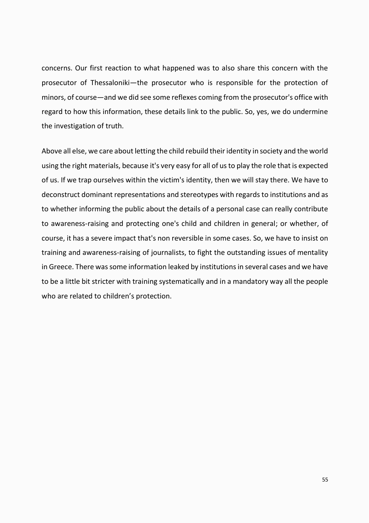concerns. Our first reaction to what happened was to also share this concern with the prosecutor of Thessaloniki—the prosecutor who is responsible for the protection of minors, of course—and we did see some reflexes coming from the prosecutor's office with regard to how this information, these details link to the public. So, yes, we do undermine the investigation of truth.

Above all else, we care about letting the child rebuild their identity in society and the world using the right materials, because it's very easy for all of us to play the role that is expected of us. If we trap ourselves within the victim's identity, then we will stay there. We have to deconstruct dominant representations and stereotypes with regards to institutions and as to whether informing the public about the details of a personal case can really contribute to awareness-raising and protecting one's child and children in general; or whether, of course, it has a severe impact that's non reversible in some cases. So, we have to insist on training and awareness-raising of journalists, to fight the outstanding issues of mentality in Greece. There was some information leaked by institutions in several cases and we have to be a little bit stricter with training systematically and in a mandatory way all the people who are related to children's protection.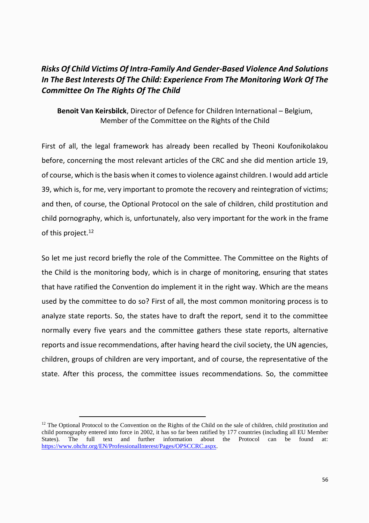### *Risks Of Child Victims Of Intra-Family And Gender-Based Violence And Solutions In The Best Interests Of The Child: Experience From The Monitoring Work Of The Committee On The Rights Of The Child*

**Benoit Van Keirsbilck**, Director of Defence for Children International – Belgium, Member of the Committee on the Rights of the Child

First of all, the legal framework has already been recalled by Theoni Koufonikolakou before, concerning the most relevant articles of the CRC and she did mention article 19, of course, which is the basis when it comes to violence against children. I would add article 39, which is, for me, very important to promote the recovery and reintegration of victims; and then, of course, the Optional Protocol on the sale of children, child prostitution and child pornography, which is, unfortunately, also very important for the work in the frame of this project.<sup>12</sup>

So let me just record briefly the role of the Committee. The Committee on the Rights of the Child is the monitoring body, which is in charge of monitoring, ensuring that states that have ratified the Convention do implement it in the right way. Which are the means used by the committee to do so? First of all, the most common monitoring process is to analyze state reports. So, the states have to draft the report, send it to the committee normally every five years and the committee gathers these state reports, alternative reports and issue recommendations, after having heard the civil society, the UN agencies, children, groups of children are very important, and of course, the representative of the state. After this process, the committee issues recommendations. So, the committee

 $12$  The Optional Protocol to the Convention on the Rights of the Child on the sale of children, child prostitution and child pornography entered into force in 2002, it has so far been ratified by 177 countries (including all EU Member States). The full text and further information about the Protocol can be found at: [https://www.ohchr.org/EN/ProfessionalInterest/Pages/OPSCCRC.aspx.](https://www.ohchr.org/EN/ProfessionalInterest/Pages/OPSCCRC.aspx)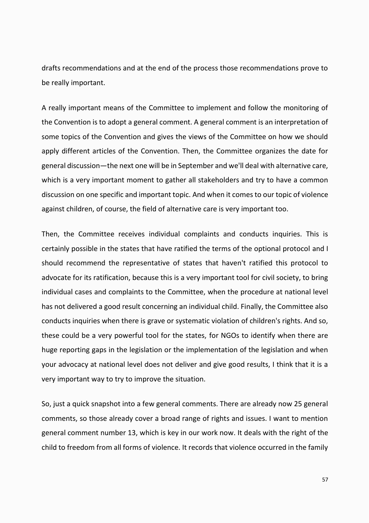drafts recommendations and at the end of the process those recommendations prove to be really important.

A really important means of the Committee to implement and follow the monitoring of the Convention is to adopt a general comment. A general comment is an interpretation of some topics of the Convention and gives the views of the Committee on how we should apply different articles of the Convention. Then, the Committee organizes the date for general discussion—the next one will be in September and we'll deal with alternative care, which is a very important moment to gather all stakeholders and try to have a common discussion on one specific and important topic. And when it comes to our topic of violence against children, of course, the field of alternative care is very important too.

Then, the Committee receives individual complaints and conducts inquiries. This is certainly possible in the states that have ratified the terms of the optional protocol and I should recommend the representative of states that haven't ratified this protocol to advocate for its ratification, because this is a very important tool for civil society, to bring individual cases and complaints to the Committee, when the procedure at national level has not delivered a good result concerning an individual child. Finally, the Committee also conducts inquiries when there is grave or systematic violation of children's rights. And so, these could be a very powerful tool for the states, for NGOs to identify when there are huge reporting gaps in the legislation or the implementation of the legislation and when your advocacy at national level does not deliver and give good results, I think that it is a very important way to try to improve the situation.

So, just a quick snapshot into a few general comments. There are already now 25 general comments, so those already cover a broad range of rights and issues. I want to mention general comment number 13, which is key in our work now. It deals with the right of the child to freedom from all forms of violence. It records that violence occurred in the family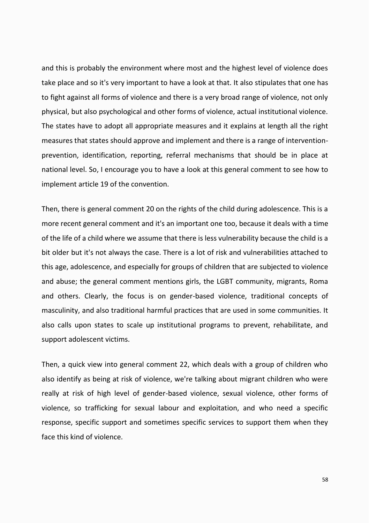and this is probably the environment where most and the highest level of violence does take place and so it's very important to have a look at that. It also stipulates that one has to fight against all forms of violence and there is a very broad range of violence, not only physical, but also psychological and other forms of violence, actual institutional violence. The states have to adopt all appropriate measures and it explains at length all the right measures that states should approve and implement and there is a range of interventionprevention, identification, reporting, referral mechanisms that should be in place at national level. So, I encourage you to have a look at this general comment to see how to implement article 19 of the convention.

Then, there is general comment 20 on the rights of the child during adolescence. This is a more recent general comment and it's an important one too, because it deals with a time of the life of a child where we assume that there is less vulnerability because the child is a bit older but it's not always the case. There is a lot of risk and vulnerabilities attached to this age, adolescence, and especially for groups of children that are subjected to violence and abuse; the general comment mentions girls, the LGBT community, migrants, Roma and others. Clearly, the focus is on gender-based violence, traditional concepts of masculinity, and also traditional harmful practices that are used in some communities. It also calls upon states to scale up institutional programs to prevent, rehabilitate, and support adolescent victims.

Then, a quick view into general comment 22, which deals with a group of children who also identify as being at risk of violence, we're talking about migrant children who were really at risk of high level of gender-based violence, sexual violence, other forms of violence, so trafficking for sexual labour and exploitation, and who need a specific response, specific support and sometimes specific services to support them when they face this kind of violence.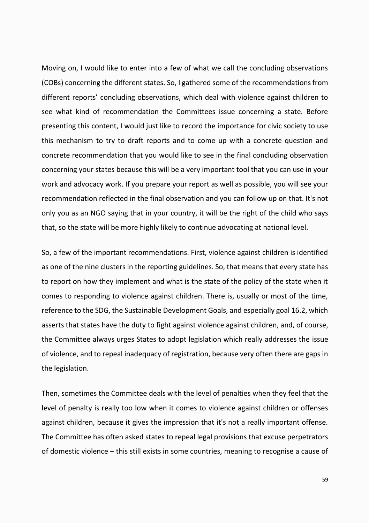Moving on, I would like to enter into a few of what we call the concluding observations (COBs) concerning the different states. So, I gathered some of the recommendations from different reports' concluding observations, which deal with violence against children to see what kind of recommendation the Committees issue concerning a state. Before presenting this content, I would just like to record the importance for civic society to use this mechanism to try to draft reports and to come up with a concrete question and concrete recommendation that you would like to see in the final concluding observation concerning your states because this will be a very important tool that you can use in your work and advocacy work. If you prepare your report as well as possible, you will see your recommendation reflected in the final observation and you can follow up on that. It's not only you as an NGO saying that in your country, it will be the right of the child who says that, so the state will be more highly likely to continue advocating at national level.

So, a few of the important recommendations. First, violence against children is identified as one of the nine clusters in the reporting guidelines. So, that means that every state has to report on how they implement and what is the state of the policy of the state when it comes to responding to violence against children. There is, usually or most of the time, reference to the SDG, the Sustainable Development Goals, and especially goal 16.2, which asserts that states have the duty to fight against violence against children, and, of course, the Committee always urges States to adopt legislation which really addresses the issue of violence, and to repeal inadequacy of registration, because very often there are gaps in the legislation.

Then, sometimes the Committee deals with the level of penalties when they feel that the level of penalty is really too low when it comes to violence against children or offenses against children, because it gives the impression that it's not a really important offense. The Committee has often asked states to repeal legal provisions that excuse perpetrators of domestic violence – this still exists in some countries, meaning to recognise a cause of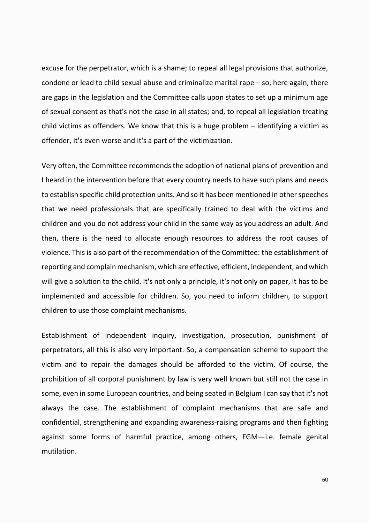excuse for the perpetrator, which is a shame; to repeal all legal provisions that authorize, condone or lead to child sexual abuse and criminalize marital rape – so, here again, there are gaps in the legislation and the Committee calls upon states to set up a minimum age of sexual consent as that's not the case in all states; and, to repeal all legislation treating child victims as offenders. We know that this is a huge problem – identifying a victim as offender, it's even worse and it's a part of the victimization.

Very often, the Committee recommends the adoption of national plans of prevention and I heard in the intervention before that every country needs to have such plans and needs to establish specific child protection units. And so it has been mentioned in other speeches that we need professionals that are specifically trained to deal with the victims and children and you do not address your child in the same way as you address an adult. And then, there is the need to allocate enough resources to address the root causes of violence. This is also part of the recommendation of the Committee: the establishment of reporting and complain mechanism, which are effective, efficient, independent, and which will give a solution to the child. It's not only a principle, it's not only on paper, it has to be implemented and accessible for children. So, you need to inform children, to support children to use those complaint mechanisms.

Establishment of independent inquiry, investigation, prosecution, punishment of perpetrators, all this is also very important. So, a compensation scheme to support the victim and to repair the damages should be afforded to the victim. Of course, the prohibition of all corporal punishment by law is very well known but still not the case in some, even in some European countries, and being seated in Belgium I can say that it's not always the case. The establishment of complaint mechanisms that are safe and confidential, strengthening and expanding awareness-raising programs and then fighting against some forms of harmful practice, among others, FGM—i.e. female genital mutilation.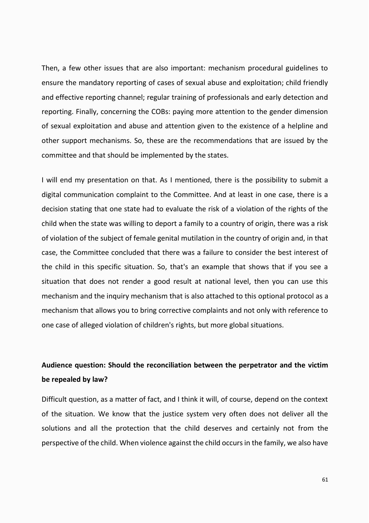Then, a few other issues that are also important: mechanism procedural guidelines to ensure the mandatory reporting of cases of sexual abuse and exploitation; child friendly and effective reporting channel; regular training of professionals and early detection and reporting. Finally, concerning the COBs: paying more attention to the gender dimension of sexual exploitation and abuse and attention given to the existence of a helpline and other support mechanisms. So, these are the recommendations that are issued by the committee and that should be implemented by the states.

I will end my presentation on that. As I mentioned, there is the possibility to submit a digital communication complaint to the Committee. And at least in one case, there is a decision stating that one state had to evaluate the risk of a violation of the rights of the child when the state was willing to deport a family to a country of origin, there was a risk of violation of the subject of female genital mutilation in the country of origin and, in that case, the Committee concluded that there was a failure to consider the best interest of the child in this specific situation. So, that's an example that shows that if you see a situation that does not render a good result at national level, then you can use this mechanism and the inquiry mechanism that is also attached to this optional protocol as a mechanism that allows you to bring corrective complaints and not only with reference to one case of alleged violation of children's rights, but more global situations.

## **Audience question: Should the reconciliation between the perpetrator and the victim be repealed by law?**

Difficult question, as a matter of fact, and I think it will, of course, depend on the context of the situation. We know that the justice system very often does not deliver all the solutions and all the protection that the child deserves and certainly not from the perspective of the child. When violence against the child occurs in the family, we also have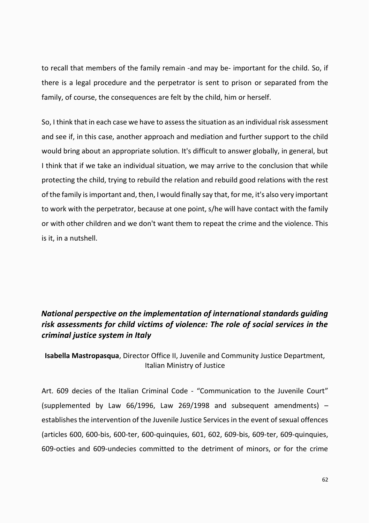to recall that members of the family remain -and may be- important for the child. So, if there is a legal procedure and the perpetrator is sent to prison or separated from the family, of course, the consequences are felt by the child, him or herself.

So, I think that in each case we have to assess the situation as an individual risk assessment and see if, in this case, another approach and mediation and further support to the child would bring about an appropriate solution. It's difficult to answer globally, in general, but I think that if we take an individual situation, we may arrive to the conclusion that while protecting the child, trying to rebuild the relation and rebuild good relations with the rest of the family is important and, then, I would finally say that, for me, it's also very important to work with the perpetrator, because at one point, s/he will have contact with the family or with other children and we don't want them to repeat the crime and the violence. This is it, in a nutshell.

### *National perspective on the implementation of international standards guiding risk assessments for child victims of violence: The role of social services in the criminal justice system in Italy*

**Isabella Mastropasqua**, Director Office II, Juvenile and Community Justice Department, Italian Ministry of Justice

Art. 609 decies of the Italian Criminal Code - "Communication to the Juvenile Court" (supplemented by Law 66/1996, Law 269/1998 and subsequent amendments) – establishes the intervention of the Juvenile Justice Services in the event of sexual offences (articles 600, 600-bis, 600-ter, 600-quinquies, 601, 602, 609-bis, 609-ter, 609-quinquies, 609-octies and 609-undecies committed to the detriment of minors, or for the crime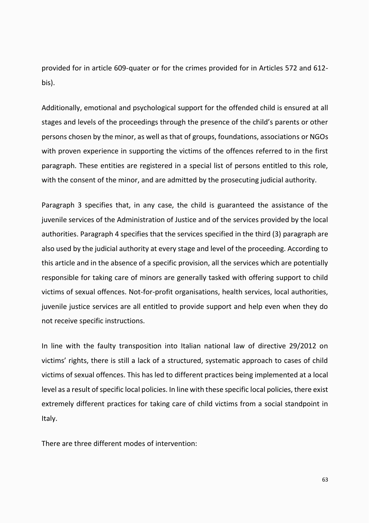provided for in article 609-quater or for the crimes provided for in Articles 572 and 612 bis).

Additionally, emotional and psychological support for the offended child is ensured at all stages and levels of the proceedings through the presence of the child's parents or other persons chosen by the minor, as well as that of groups, foundations, associations or NGOs with proven experience in supporting the victims of the offences referred to in the first paragraph. These entities are registered in a special list of persons entitled to this role, with the consent of the minor, and are admitted by the prosecuting judicial authority.

Paragraph 3 specifies that, in any case, the child is guaranteed the assistance of the juvenile services of the Administration of Justice and of the services provided by the local authorities. Paragraph 4 specifies that the services specified in the third (3) paragraph are also used by the judicial authority at every stage and level of the proceeding. According to this article and in the absence of a specific provision, all the services which are potentially responsible for taking care of minors are generally tasked with offering support to child victims of sexual offences. Not-for-profit organisations, health services, local authorities, juvenile justice services are all entitled to provide support and help even when they do not receive specific instructions.

In line with the faulty transposition into Italian national law of directive 29/2012 on victims' rights, there is still a lack of a structured, systematic approach to cases of child victims of sexual offences. This has led to different practices being implemented at a local level as a result of specific local policies. In line with these specific local policies, there exist extremely different practices for taking care of child victims from a social standpoint in Italy.

There are three different modes of intervention: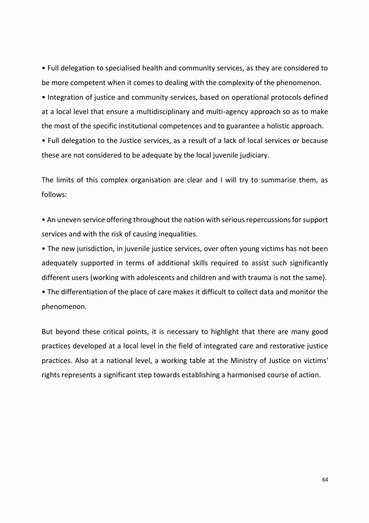• Full delegation to specialised health and community services, as they are considered to be more competent when it comes to dealing with the complexity of the phenomenon.

• Integration of justice and community services, based on operational protocols defined at a local level that ensure a multidisciplinary and multi-agency approach so as to make the most of the specific institutional competences and to guarantee a holistic approach.

• Full delegation to the Justice services, as a result of a lack of local services or because these are not considered to be adequate by the local juvenile judiciary.

The limits of this complex organisation are clear and I will try to summarise them, as follows:

• An uneven service offering throughout the nation with serious repercussions for support services and with the risk of causing inequalities.

• The new jurisdiction, in juvenile justice services, over often young victims has not been adequately supported in terms of additional skills required to assist such significantly different users (working with adolescents and children and with trauma is not the same).

• The differentiation of the place of care makes it difficult to collect data and monitor the phenomenon.

But beyond these critical points, it is necessary to highlight that there are many good practices developed at a local level in the field of integrated care and restorative justice practices. Also at a national level, a working table at the Ministry of Justice on victims' rights represents a significant step towards establishing a harmonised course of action.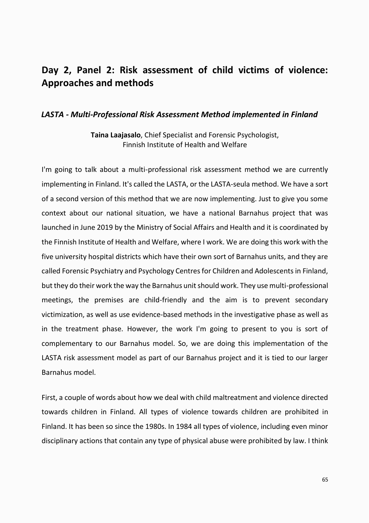## **Day 2, Panel 2: Risk assessment of child victims of violence: Approaches and methods**

### *LASTA - Multi-Professional Risk Assessment Method implemented in Finland*

**Taina Laajasalo**, Chief Specialist and Forensic Psychologist, Finnish Institute of Health and Welfare

I'm going to talk about a multi-professional risk assessment method we are currently implementing in Finland. It's called the LASTA, or the LASTA-seula method. We have a sort of a second version of this method that we are now implementing. Just to give you some context about our national situation, we have a national Barnahus project that was launched in June 2019 by the Ministry of Social Affairs and Health and it is coordinated by the Finnish Institute of Health and Welfare, where I work. We are doing this work with the five university hospital districts which have their own sort of Barnahus units, and they are called Forensic Psychiatry and Psychology Centres for Children and Adolescents in Finland, but they do their work the way the Barnahus unit should work. They use multi-professional meetings, the premises are child-friendly and the aim is to prevent secondary victimization, as well as use evidence-based methods in the investigative phase as well as in the treatment phase. However, the work I'm going to present to you is sort of complementary to our Barnahus model. So, we are doing this implementation of the LASTA risk assessment model as part of our Barnahus project and it is tied to our larger Barnahus model.

First, a couple of words about how we deal with child maltreatment and violence directed towards children in Finland. All types of violence towards children are prohibited in Finland. It has been so since the 1980s. In 1984 all types of violence, including even minor disciplinary actions that contain any type of physical abuse were prohibited by law. I think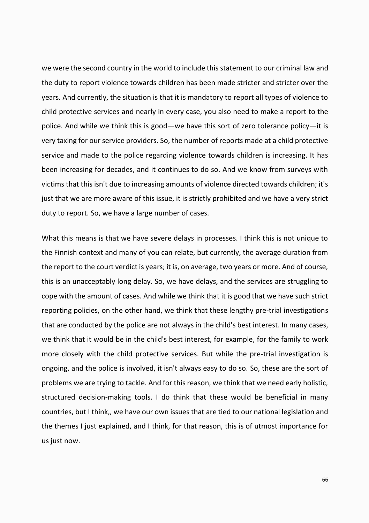we were the second country in the world to include this statement to our criminal law and the duty to report violence towards children has been made stricter and stricter over the years. And currently, the situation is that it is mandatory to report all types of violence to child protective services and nearly in every case, you also need to make a report to the police. And while we think this is good—we have this sort of zero tolerance policy—it is very taxing for our service providers. So, the number of reports made at a child protective service and made to the police regarding violence towards children is increasing. It has been increasing for decades, and it continues to do so. And we know from surveys with victims that this isn't due to increasing amounts of violence directed towards children; it's just that we are more aware of this issue, it is strictly prohibited and we have a very strict duty to report. So, we have a large number of cases.

What this means is that we have severe delays in processes. I think this is not unique to the Finnish context and many of you can relate, but currently, the average duration from the report to the court verdict is years; it is, on average, two years or more. And of course, this is an unacceptably long delay. So, we have delays, and the services are struggling to cope with the amount of cases. And while we think that it is good that we have such strict reporting policies, on the other hand, we think that these lengthy pre-trial investigations that are conducted by the police are not always in the child's best interest. In many cases, we think that it would be in the child's best interest, for example, for the family to work more closely with the child protective services. But while the pre-trial investigation is ongoing, and the police is involved, it isn't always easy to do so. So, these are the sort of problems we are trying to tackle. And for this reason, we think that we need early holistic, structured decision-making tools. I do think that these would be beneficial in many countries, but I think,, we have our own issues that are tied to our national legislation and the themes I just explained, and I think, for that reason, this is of utmost importance for us just now.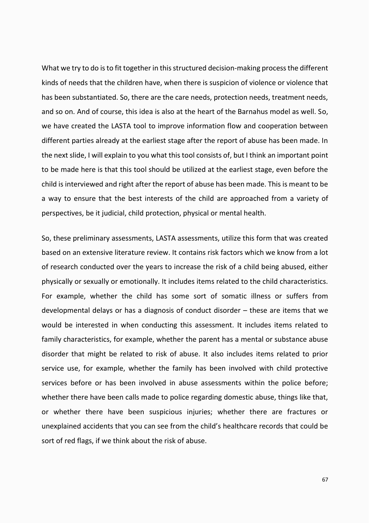What we try to do is to fit together in this structured decision-making process the different kinds of needs that the children have, when there is suspicion of violence or violence that has been substantiated. So, there are the care needs, protection needs, treatment needs, and so on. And of course, this idea is also at the heart of the Barnahus model as well. So, we have created the LASTA tool to improve information flow and cooperation between different parties already at the earliest stage after the report of abuse has been made. In the next slide, I will explain to you what this tool consists of, but I think an important point to be made here is that this tool should be utilized at the earliest stage, even before the child is interviewed and right after the report of abuse has been made. This is meant to be a way to ensure that the best interests of the child are approached from a variety of perspectives, be it judicial, child protection, physical or mental health.

So, these preliminary assessments, LASTA assessments, utilize this form that was created based on an extensive literature review. It contains risk factors which we know from a lot of research conducted over the years to increase the risk of a child being abused, either physically or sexually or emotionally. It includes items related to the child characteristics. For example, whether the child has some sort of somatic illness or suffers from developmental delays or has a diagnosis of conduct disorder – these are items that we would be interested in when conducting this assessment. It includes items related to family characteristics, for example, whether the parent has a mental or substance abuse disorder that might be related to risk of abuse. It also includes items related to prior service use, for example, whether the family has been involved with child protective services before or has been involved in abuse assessments within the police before; whether there have been calls made to police regarding domestic abuse, things like that, or whether there have been suspicious injuries; whether there are fractures or unexplained accidents that you can see from the child's healthcare records that could be sort of red flags, if we think about the risk of abuse.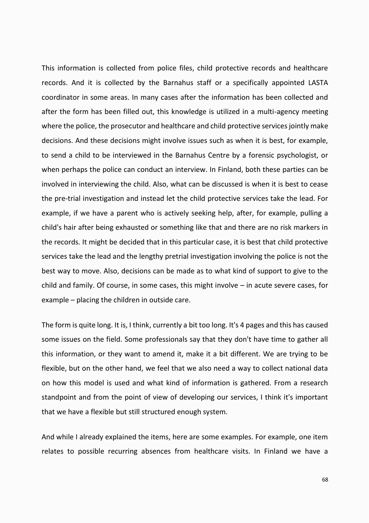This information is collected from police files, child protective records and healthcare records. And it is collected by the Barnahus staff or a specifically appointed LASTA coordinator in some areas. In many cases after the information has been collected and after the form has been filled out, this knowledge is utilized in a multi-agency meeting where the police, the prosecutor and healthcare and child protective services jointly make decisions. And these decisions might involve issues such as when it is best, for example, to send a child to be interviewed in the Barnahus Centre by a forensic psychologist, or when perhaps the police can conduct an interview. In Finland, both these parties can be involved in interviewing the child. Also, what can be discussed is when it is best to cease the pre-trial investigation and instead let the child protective services take the lead. For example, if we have a parent who is actively seeking help, after, for example, pulling a child's hair after being exhausted or something like that and there are no risk markers in the records. It might be decided that in this particular case, it is best that child protective services take the lead and the lengthy pretrial investigation involving the police is not the best way to move. Also, decisions can be made as to what kind of support to give to the child and family. Of course, in some cases, this might involve – in acute severe cases, for example – placing the children in outside care.

The form is quite long. It is, I think, currently a bit too long. It's 4 pages and this has caused some issues on the field. Some professionals say that they don't have time to gather all this information, or they want to amend it, make it a bit different. We are trying to be flexible, but on the other hand, we feel that we also need a way to collect national data on how this model is used and what kind of information is gathered. From a research standpoint and from the point of view of developing our services, I think it's important that we have a flexible but still structured enough system.

And while I already explained the items, here are some examples. For example, one item relates to possible recurring absences from healthcare visits. In Finland we have a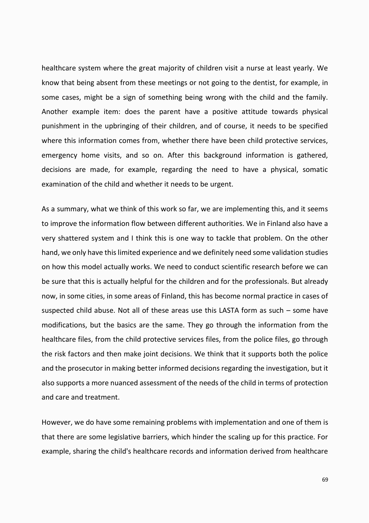healthcare system where the great majority of children visit a nurse at least yearly. We know that being absent from these meetings or not going to the dentist, for example, in some cases, might be a sign of something being wrong with the child and the family. Another example item: does the parent have a positive attitude towards physical punishment in the upbringing of their children, and of course, it needs to be specified where this information comes from, whether there have been child protective services, emergency home visits, and so on. After this background information is gathered, decisions are made, for example, regarding the need to have a physical, somatic examination of the child and whether it needs to be urgent.

As a summary, what we think of this work so far, we are implementing this, and it seems to improve the information flow between different authorities. We in Finland also have a very shattered system and I think this is one way to tackle that problem. On the other hand, we only have this limited experience and we definitely need some validation studies on how this model actually works. We need to conduct scientific research before we can be sure that this is actually helpful for the children and for the professionals. But already now, in some cities, in some areas of Finland, this has become normal practice in cases of suspected child abuse. Not all of these areas use this LASTA form as such – some have modifications, but the basics are the same. They go through the information from the healthcare files, from the child protective services files, from the police files, go through the risk factors and then make joint decisions. We think that it supports both the police and the prosecutor in making better informed decisions regarding the investigation, but it also supports a more nuanced assessment of the needs of the child in terms of protection and care and treatment.

However, we do have some remaining problems with implementation and one of them is that there are some legislative barriers, which hinder the scaling up for this practice. For example, sharing the child's healthcare records and information derived from healthcare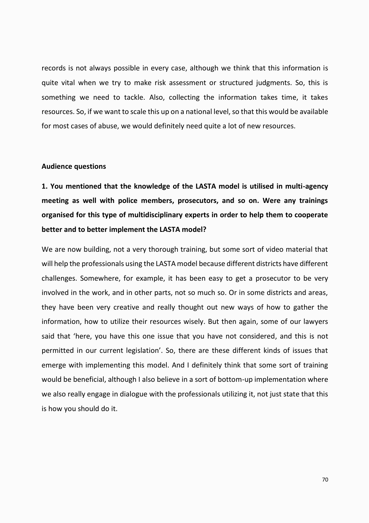records is not always possible in every case, although we think that this information is quite vital when we try to make risk assessment or structured judgments. So, this is something we need to tackle. Also, collecting the information takes time, it takes resources. So, if we want to scale this up on a national level, so that this would be available for most cases of abuse, we would definitely need quite a lot of new resources.

#### **Audience questions**

**1. You mentioned that the knowledge of the LASTA model is utilised in multi-agency meeting as well with police members, prosecutors, and so on. Were any trainings organised for this type of multidisciplinary experts in order to help them to cooperate better and to better implement the LASTA model?** 

We are now building, not a very thorough training, but some sort of video material that will help the professionals using the LASTA model because different districts have different challenges. Somewhere, for example, it has been easy to get a prosecutor to be very involved in the work, and in other parts, not so much so. Or in some districts and areas, they have been very creative and really thought out new ways of how to gather the information, how to utilize their resources wisely. But then again, some of our lawyers said that 'here, you have this one issue that you have not considered, and this is not permitted in our current legislation'. So, there are these different kinds of issues that emerge with implementing this model. And I definitely think that some sort of training would be beneficial, although I also believe in a sort of bottom-up implementation where we also really engage in dialogue with the professionals utilizing it, not just state that this is how you should do it.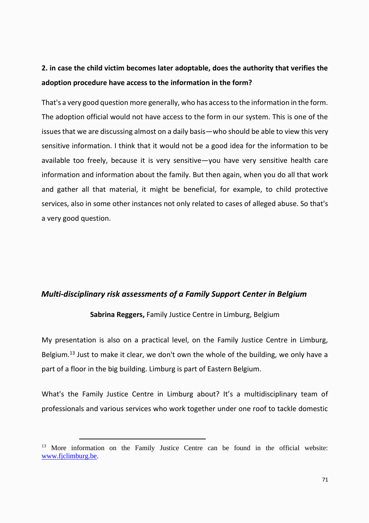## **2. in case the child victim becomes later adoptable, does the authority that verifies the adoption procedure have access to the information in the form?**

That's a very good question more generally, who has access to the information in the form. The adoption official would not have access to the form in our system. This is one of the issues that we are discussing almost on a daily basis—who should be able to view this very sensitive information. I think that it would not be a good idea for the information to be available too freely, because it is very sensitive—you have very sensitive health care information and information about the family. But then again, when you do all that work and gather all that material, it might be beneficial, for example, to child protective services, also in some other instances not only related to cases of alleged abuse. So that's a very good question.

### *Multi-disciplinary risk assessments of a Family Support Center in Belgium*

**Sabrina Reggers,** Family Justice Centre in Limburg, Belgium

My presentation is also on a practical level, on the Family Justice Centre in Limburg, Belgium.<sup>13</sup> Just to make it clear, we don't own the whole of the building, we only have a part of a floor in the big building. Limburg is part of Eastern Belgium.

What's the Family Justice Centre in Limburg about? It's a multidisciplinary team of professionals and various services who work together under one roof to tackle domestic

<sup>&</sup>lt;sup>13</sup> More information on the Family Justice Centre can be found in the official website: [www.fjclimburg.be.](http://www.fjclimburg.be/)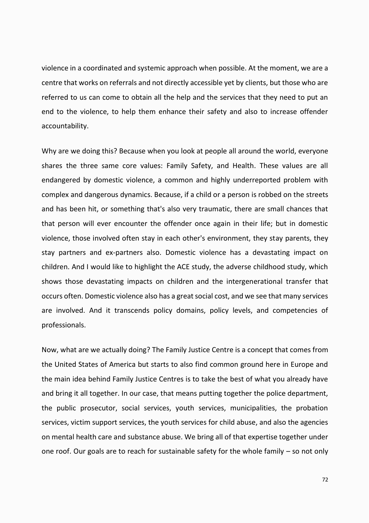violence in a coordinated and systemic approach when possible. At the moment, we are a centre that works on referrals and not directly accessible yet by clients, but those who are referred to us can come to obtain all the help and the services that they need to put an end to the violence, to help them enhance their safety and also to increase offender accountability.

Why are we doing this? Because when you look at people all around the world, everyone shares the three same core values: Family Safety, and Health. These values are all endangered by domestic violence, a common and highly underreported problem with complex and dangerous dynamics. Because, if a child or a person is robbed on the streets and has been hit, or something that's also very traumatic, there are small chances that that person will ever encounter the offender once again in their life; but in domestic violence, those involved often stay in each other's environment, they stay parents, they stay partners and ex-partners also. Domestic violence has a devastating impact on children. And I would like to highlight the ACE study, the adverse childhood study, which shows those devastating impacts on children and the intergenerational transfer that occurs often. Domestic violence also has a great social cost, and we see that many services are involved. And it transcends policy domains, policy levels, and competencies of professionals.

Now, what are we actually doing? The Family Justice Centre is a concept that comes from the United States of America but starts to also find common ground here in Europe and the main idea behind Family Justice Centres is to take the best of what you already have and bring it all together. In our case, that means putting together the police department, the public prosecutor, social services, youth services, municipalities, the probation services, victim support services, the youth services for child abuse, and also the agencies on mental health care and substance abuse. We bring all of that expertise together under one roof. Our goals are to reach for sustainable safety for the whole family – so not only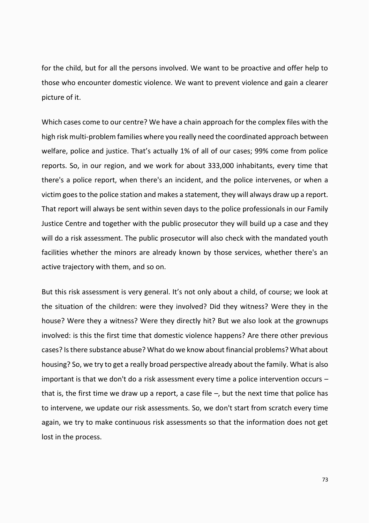for the child, but for all the persons involved. We want to be proactive and offer help to those who encounter domestic violence. We want to prevent violence and gain a clearer picture of it.

Which cases come to our centre? We have a chain approach for the complex files with the high risk multi-problem families where you really need the coordinated approach between welfare, police and justice. That's actually 1% of all of our cases; 99% come from police reports. So, in our region, and we work for about 333,000 inhabitants, every time that there's a police report, when there's an incident, and the police intervenes, or when a victim goes to the police station and makes a statement, they will always draw up a report. That report will always be sent within seven days to the police professionals in our Family Justice Centre and together with the public prosecutor they will build up a case and they will do a risk assessment. The public prosecutor will also check with the mandated youth facilities whether the minors are already known by those services, whether there's an active trajectory with them, and so on.

But this risk assessment is very general. It's not only about a child, of course; we look at the situation of the children: were they involved? Did they witness? Were they in the house? Were they a witness? Were they directly hit? But we also look at the grownups involved: is this the first time that domestic violence happens? Are there other previous cases? Is there substance abuse? What do we know about financial problems? What about housing? So, we try to get a really broad perspective already about the family. What is also important is that we don't do a risk assessment every time a police intervention occurs – that is, the first time we draw up a report, a case file –, but the next time that police has to intervene, we update our risk assessments. So, we don't start from scratch every time again, we try to make continuous risk assessments so that the information does not get lost in the process.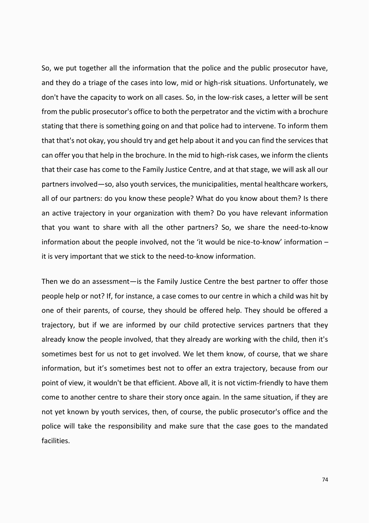So, we put together all the information that the police and the public prosecutor have, and they do a triage of the cases into low, mid or high-risk situations. Unfortunately, we don't have the capacity to work on all cases. So, in the low-risk cases, a letter will be sent from the public prosecutor's office to both the perpetrator and the victim with a brochure stating that there is something going on and that police had to intervene. To inform them that that's not okay, you should try and get help about it and you can find the services that can offer you that help in the brochure. In the mid to high-risk cases, we inform the clients that their case has come to the Family Justice Centre, and at that stage, we will ask all our partners involved—so, also youth services, the municipalities, mental healthcare workers, all of our partners: do you know these people? What do you know about them? Is there an active trajectory in your organization with them? Do you have relevant information that you want to share with all the other partners? So, we share the need-to-know information about the people involved, not the 'it would be nice-to-know' information – it is very important that we stick to the need-to-know information.

Then we do an assessment—is the Family Justice Centre the best partner to offer those people help or not? If, for instance, a case comes to our centre in which a child was hit by one of their parents, of course, they should be offered help. They should be offered a trajectory, but if we are informed by our child protective services partners that they already know the people involved, that they already are working with the child, then it's sometimes best for us not to get involved. We let them know, of course, that we share information, but it's sometimes best not to offer an extra trajectory, because from our point of view, it wouldn't be that efficient. Above all, it is not victim-friendly to have them come to another centre to share their story once again. In the same situation, if they are not yet known by youth services, then, of course, the public prosecutor's office and the police will take the responsibility and make sure that the case goes to the mandated facilities.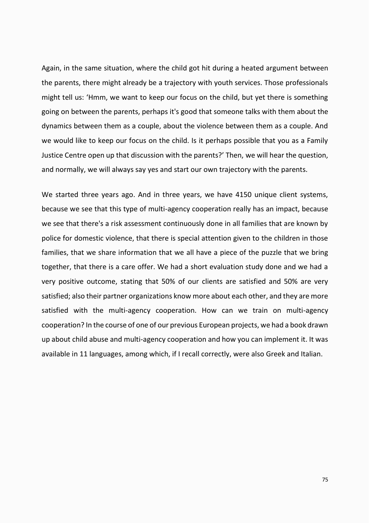Again, in the same situation, where the child got hit during a heated argument between the parents, there might already be a trajectory with youth services. Those professionals might tell us: 'Hmm, we want to keep our focus on the child, but yet there is something going on between the parents, perhaps it's good that someone talks with them about the dynamics between them as a couple, about the violence between them as a couple. And we would like to keep our focus on the child. Is it perhaps possible that you as a Family Justice Centre open up that discussion with the parents?' Then, we will hear the question, and normally, we will always say yes and start our own trajectory with the parents.

We started three years ago. And in three years, we have 4150 unique client systems, because we see that this type of multi-agency cooperation really has an impact, because we see that there's a risk assessment continuously done in all families that are known by police for domestic violence, that there is special attention given to the children in those families, that we share information that we all have a piece of the puzzle that we bring together, that there is a care offer. We had a short evaluation study done and we had a very positive outcome, stating that 50% of our clients are satisfied and 50% are very satisfied; also their partner organizations know more about each other, and they are more satisfied with the multi-agency cooperation. How can we train on multi-agency cooperation? In the course of one of our previous European projects, we had a book drawn up about child abuse and multi-agency cooperation and how you can implement it. It was available in 11 languages, among which, if I recall correctly, were also Greek and Italian.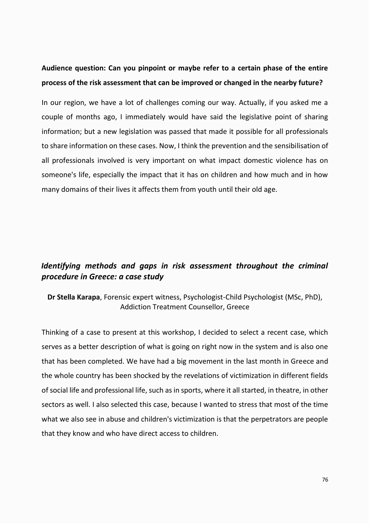# **Audience question: Can you pinpoint or maybe refer to a certain phase of the entire process of the risk assessment that can be improved or changed in the nearby future?**

In our region, we have a lot of challenges coming our way. Actually, if you asked me a couple of months ago, I immediately would have said the legislative point of sharing information; but a new legislation was passed that made it possible for all professionals to share information on these cases. Now, I think the prevention and the sensibilisation of all professionals involved is very important on what impact domestic violence has on someone's life, especially the impact that it has on children and how much and in how many domains of their lives it affects them from youth until their old age.

## *Identifying methods and gaps in risk assessment throughout the criminal procedure in Greece: a case study*

### **Dr Stella Karapa**, Forensic expert witness, Psychologist-Child Psychologist (MSc, PhD), Addiction Treatment Counsellor, Greece

Thinking of a case to present at this workshop, I decided to select a recent case, which serves as a better description of what is going on right now in the system and is also one that has been completed. We have had a big movement in the last month in Greece and the whole country has been shocked by the revelations of victimization in different fields of social life and professional life, such as in sports, where it all started, in theatre, in other sectors as well. I also selected this case, because I wanted to stress that most of the time what we also see in abuse and children's victimization is that the perpetrators are people that they know and who have direct access to children.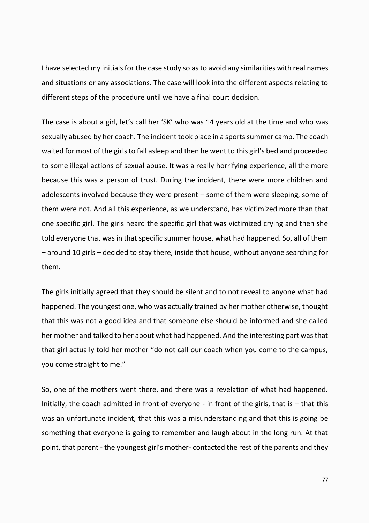I have selected my initials for the case study so as to avoid any similarities with real names and situations or any associations. The case will look into the different aspects relating to different steps of the procedure until we have a final court decision.

The case is about a girl, let's call her 'SK' who was 14 years old at the time and who was sexually abused by her coach. The incident took place in a sports summer camp. The coach waited for most of the girls to fall asleep and then he went to this girl's bed and proceeded to some illegal actions of sexual abuse. It was a really horrifying experience, all the more because this was a person of trust. During the incident, there were more children and adolescents involved because they were present – some of them were sleeping, some of them were not. And all this experience, as we understand, has victimized more than that one specific girl. The girls heard the specific girl that was victimized crying and then she told everyone that was in that specific summer house, what had happened. So, all of them – around 10 girls – decided to stay there, inside that house, without anyone searching for them.

The girls initially agreed that they should be silent and to not reveal to anyone what had happened. The youngest one, who was actually trained by her mother otherwise, thought that this was not a good idea and that someone else should be informed and she called her mother and talked to her about what had happened. And the interesting part was that that girl actually told her mother "do not call our coach when you come to the campus, you come straight to me."

So, one of the mothers went there, and there was a revelation of what had happened. Initially, the coach admitted in front of everyone - in front of the girls, that is – that this was an unfortunate incident, that this was a misunderstanding and that this is going be something that everyone is going to remember and laugh about in the long run. At that point, that parent - the youngest girl's mother- contacted the rest of the parents and they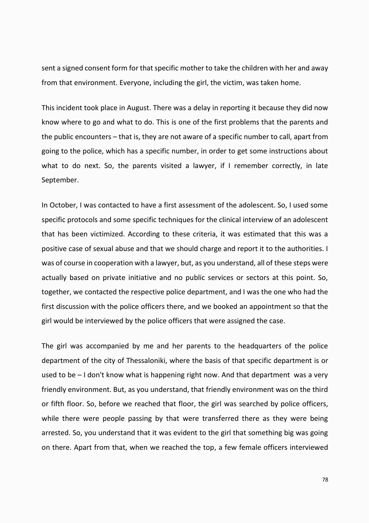sent a signed consent form for that specific mother to take the children with her and away from that environment. Everyone, including the girl, the victim, was taken home.

This incident took place in August. There was a delay in reporting it because they did now know where to go and what to do. This is one of the first problems that the parents and the public encounters – that is, they are not aware of a specific number to call, apart from going to the police, which has a specific number, in order to get some instructions about what to do next. So, the parents visited a lawyer, if I remember correctly, in late September.

In October, I was contacted to have a first assessment of the adolescent. So, I used some specific protocols and some specific techniques for the clinical interview of an adolescent that has been victimized. According to these criteria, it was estimated that this was a positive case of sexual abuse and that we should charge and report it to the authorities. I was of course in cooperation with a lawyer, but, as you understand, all of these steps were actually based on private initiative and no public services or sectors at this point. So, together, we contacted the respective police department, and I was the one who had the first discussion with the police officers there, and we booked an appointment so that the girl would be interviewed by the police officers that were assigned the case.

The girl was accompanied by me and her parents to the headquarters of the police department of the city of Thessaloniki, where the basis of that specific department is or used to be  $-1$  don't know what is happening right now. And that department was a very friendly environment. But, as you understand, that friendly environment was on the third or fifth floor. So, before we reached that floor, the girl was searched by police officers, while there were people passing by that were transferred there as they were being arrested. So, you understand that it was evident to the girl that something big was going on there. Apart from that, when we reached the top, a few female officers interviewed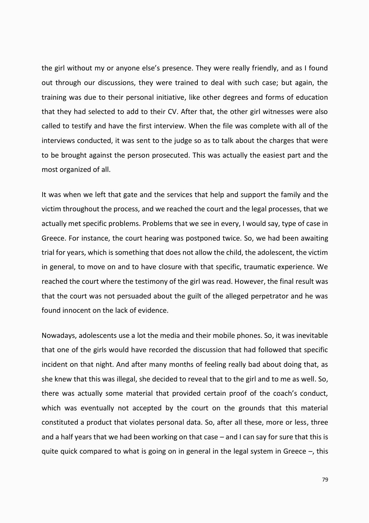the girl without my or anyone else's presence. They were really friendly, and as I found out through our discussions, they were trained to deal with such case; but again, the training was due to their personal initiative, like other degrees and forms of education that they had selected to add to their CV. After that, the other girl witnesses were also called to testify and have the first interview. When the file was complete with all of the interviews conducted, it was sent to the judge so as to talk about the charges that were to be brought against the person prosecuted. This was actually the easiest part and the most organized of all.

It was when we left that gate and the services that help and support the family and the victim throughout the process, and we reached the court and the legal processes, that we actually met specific problems. Problems that we see in every, I would say, type of case in Greece. For instance, the court hearing was postponed twice. So, we had been awaiting trial for years, which is something that does not allow the child, the adolescent, the victim in general, to move on and to have closure with that specific, traumatic experience. We reached the court where the testimony of the girl was read. However, the final result was that the court was not persuaded about the guilt of the alleged perpetrator and he was found innocent on the lack of evidence.

Nowadays, adolescents use a lot the media and their mobile phones. So, it was inevitable that one of the girls would have recorded the discussion that had followed that specific incident on that night. And after many months of feeling really bad about doing that, as she knew that this was illegal, she decided to reveal that to the girl and to me as well. So, there was actually some material that provided certain proof of the coach's conduct, which was eventually not accepted by the court on the grounds that this material constituted a product that violates personal data. So, after all these, more or less, three and a half years that we had been working on that case – and I can say for sure that this is quite quick compared to what is going on in general in the legal system in Greece –, this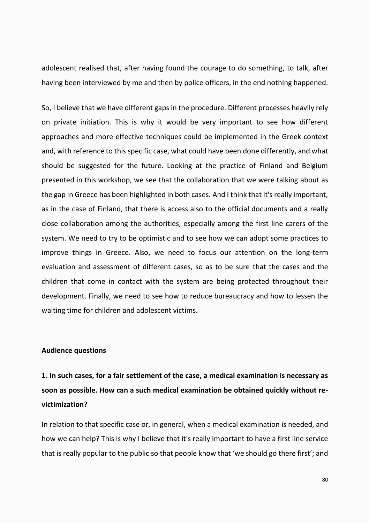adolescent realised that, after having found the courage to do something, to talk, after having been interviewed by me and then by police officers, in the end nothing happened.

So, I believe that we have different gaps in the procedure. Different processes heavily rely on private initiation. This is why it would be very important to see how different approaches and more effective techniques could be implemented in the Greek context and, with reference to this specific case, what could have been done differently, and what should be suggested for the future. Looking at the practice of Finland and Belgium presented in this workshop, we see that the collaboration that we were talking about as the gap in Greece has been highlighted in both cases. And I think that it's really important, as in the case of Finland, that there is access also to the official documents and a really close collaboration among the authorities, especially among the first line carers of the system. We need to try to be optimistic and to see how we can adopt some practices to improve things in Greece. Also, we need to focus our attention on the long-term evaluation and assessment of different cases, so as to be sure that the cases and the children that come in contact with the system are being protected throughout their development. Finally, we need to see how to reduce bureaucracy and how to lessen the waiting time for children and adolescent victims.

#### **Audience questions**

**1. In such cases, for a fair settlement of the case, a medical examination is necessary as soon as possible. How can a such medical examination be obtained quickly without revictimization?**

In relation to that specific case or, in general, when a medical examination is needed, and how we can help? This is why I believe that it's really important to have a first line service that is really popular to the public so that people know that 'we should go there first'; and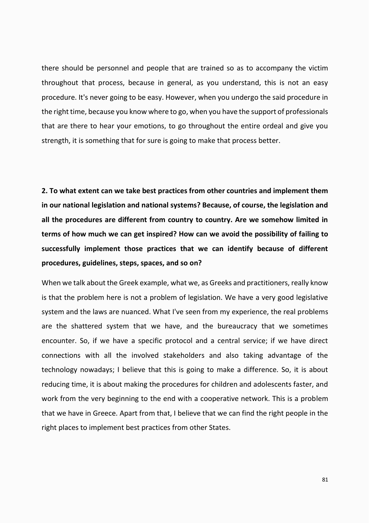there should be personnel and people that are trained so as to accompany the victim throughout that process, because in general, as you understand, this is not an easy procedure. It's never going to be easy. However, when you undergo the said procedure in the right time, because you know where to go, when you have the support of professionals that are there to hear your emotions, to go throughout the entire ordeal and give you strength, it is something that for sure is going to make that process better.

**2. To what extent can we take best practices from other countries and implement them in our national legislation and national systems? Because, of course, the legislation and all the procedures are different from country to country. Are we somehow limited in terms of how much we can get inspired? How can we avoid the possibility of failing to successfully implement those practices that we can identify because of different procedures, guidelines, steps, spaces, and so on?**

When we talk about the Greek example, what we, as Greeks and practitioners, really know is that the problem here is not a problem of legislation. We have a very good legislative system and the laws are nuanced. What I've seen from my experience, the real problems are the shattered system that we have, and the bureaucracy that we sometimes encounter. So, if we have a specific protocol and a central service; if we have direct connections with all the involved stakeholders and also taking advantage of the technology nowadays; I believe that this is going to make a difference. So, it is about reducing time, it is about making the procedures for children and adolescents faster, and work from the very beginning to the end with a cooperative network. This is a problem that we have in Greece. Apart from that, I believe that we can find the right people in the right places to implement best practices from other States.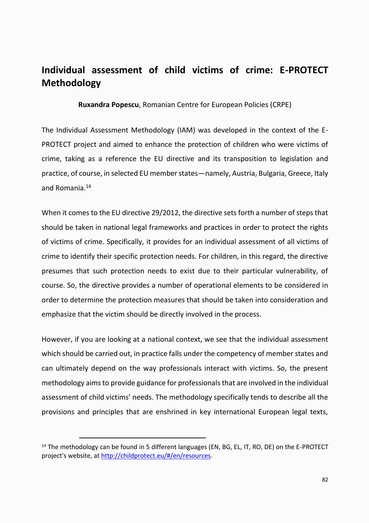# **Individual assessment of child victims of crime: E-PROTECT Methodology**

**Ruxandra Popescu**, Romanian Centre for European Policies (CRPE)

The Individual Assessment Methodology (IAM) was developed in the context of the E-PROTECT project and aimed to enhance the protection of children who were victims of crime, taking as a reference the EU directive and its transposition to legislation and practice, of course, in selected EU member states—namely, Austria, Bulgaria, Greece, Italy and Romania.<sup>14</sup>

When it comes to the EU directive 29/2012, the directive sets forth a number of steps that should be taken in national legal frameworks and practices in order to protect the rights of victims of crime. Specifically, it provides for an individual assessment of all victims of crime to identify their specific protection needs. For children, in this regard, the directive presumes that such protection needs to exist due to their particular vulnerability, of course. So, the directive provides a number of operational elements to be considered in order to determine the protection measures that should be taken into consideration and emphasize that the victim should be directly involved in the process.

However, if you are looking at a national context, we see that the individual assessment which should be carried out, in practice falls under the competency of member states and can ultimately depend on the way professionals interact with victims. So, the present methodology aims to provide guidance for professionals that are involved in the individual assessment of child victims' needs. The methodology specifically tends to describe all the provisions and principles that are enshrined in key international European legal texts,

<sup>&</sup>lt;sup>14</sup> The methodology can be found in 5 different languages (EN, BG, EL, IT, RO, DE) on the E-PROTECT project's website, at [http://childprotect.eu/#/en/resources.](http://childprotect.eu/#/en/resources)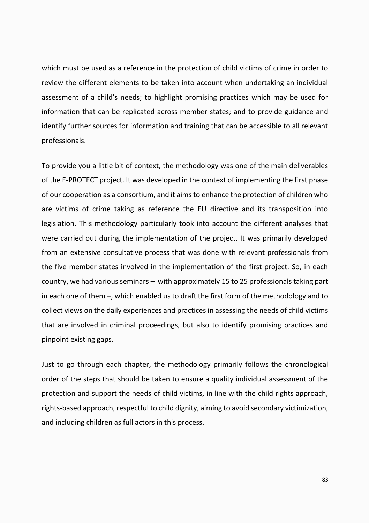which must be used as a reference in the protection of child victims of crime in order to review the different elements to be taken into account when undertaking an individual assessment of a child's needs; to highlight promising practices which may be used for information that can be replicated across member states; and to provide guidance and identify further sources for information and training that can be accessible to all relevant professionals.

To provide you a little bit of context, the methodology was one of the main deliverables of the E-PROTECT project. It was developed in the context of implementing the first phase of our cooperation as a consortium, and it aims to enhance the protection of children who are victims of crime taking as reference the EU directive and its transposition into legislation. This methodology particularly took into account the different analyses that were carried out during the implementation of the project. It was primarily developed from an extensive consultative process that was done with relevant professionals from the five member states involved in the implementation of the first project. So, in each country, we had various seminars – with approximately 15 to 25 professionals taking part in each one of them –, which enabled us to draft the first form of the methodology and to collect views on the daily experiences and practices in assessing the needs of child victims that are involved in criminal proceedings, but also to identify promising practices and pinpoint existing gaps.

Just to go through each chapter, the methodology primarily follows the chronological order of the steps that should be taken to ensure a quality individual assessment of the protection and support the needs of child victims, in line with the child rights approach, rights-based approach, respectful to child dignity, aiming to avoid secondary victimization, and including children as full actors in this process.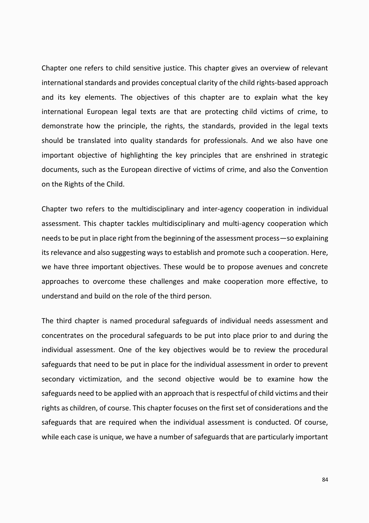Chapter one refers to child sensitive justice. This chapter gives an overview of relevant international standards and provides conceptual clarity of the child rights-based approach and its key elements. The objectives of this chapter are to explain what the key international European legal texts are that are protecting child victims of crime, to demonstrate how the principle, the rights, the standards, provided in the legal texts should be translated into quality standards for professionals. And we also have one important objective of highlighting the key principles that are enshrined in strategic documents, such as the European directive of victims of crime, and also the Convention on the Rights of the Child.

Chapter two refers to the multidisciplinary and inter-agency cooperation in individual assessment. This chapter tackles multidisciplinary and multi-agency cooperation which needs to be put in place right from the beginning of the assessment process—so explaining its relevance and also suggesting ways to establish and promote such a cooperation. Here, we have three important objectives. These would be to propose avenues and concrete approaches to overcome these challenges and make cooperation more effective, to understand and build on the role of the third person.

The third chapter is named procedural safeguards of individual needs assessment and concentrates on the procedural safeguards to be put into place prior to and during the individual assessment. One of the key objectives would be to review the procedural safeguards that need to be put in place for the individual assessment in order to prevent secondary victimization, and the second objective would be to examine how the safeguards need to be applied with an approach that is respectful of child victims and their rights as children, of course. This chapter focuses on the first set of considerations and the safeguards that are required when the individual assessment is conducted. Of course, while each case is unique, we have a number of safeguards that are particularly important

84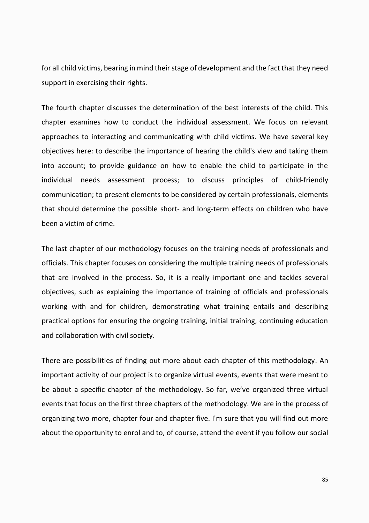for all child victims, bearing in mind their stage of development and the fact that they need support in exercising their rights.

The fourth chapter discusses the determination of the best interests of the child. This chapter examines how to conduct the individual assessment. We focus on relevant approaches to interacting and communicating with child victims. We have several key objectives here: to describe the importance of hearing the child's view and taking them into account; to provide guidance on how to enable the child to participate in the individual needs assessment process; to discuss principles of child-friendly communication; to present elements to be considered by certain professionals, elements that should determine the possible short- and long-term effects on children who have been a victim of crime.

The last chapter of our methodology focuses on the training needs of professionals and officials. This chapter focuses on considering the multiple training needs of professionals that are involved in the process. So, it is a really important one and tackles several objectives, such as explaining the importance of training of officials and professionals working with and for children, demonstrating what training entails and describing practical options for ensuring the ongoing training, initial training, continuing education and collaboration with civil society.

There are possibilities of finding out more about each chapter of this methodology. An important activity of our project is to organize virtual events, events that were meant to be about a specific chapter of the methodology. So far, we've organized three virtual events that focus on the first three chapters of the methodology. We are in the process of organizing two more, chapter four and chapter five. I'm sure that you will find out more about the opportunity to enrol and to, of course, attend the event if you follow our social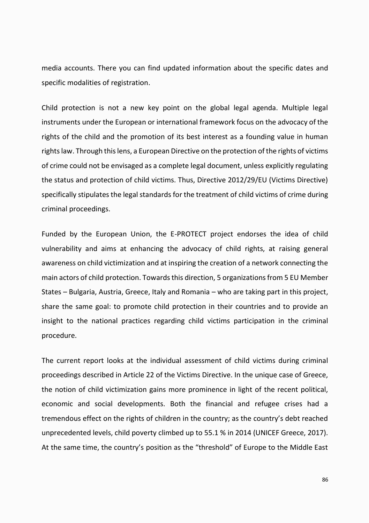media accounts. There you can find updated information about the specific dates and specific modalities of registration.

Child protection is not a new key point on the global legal agenda. Multiple legal instruments under the European or international framework focus on the advocacy of the rights of the child and the promotion of its best interest as a founding value in human rights law. Through this lens, a European Directive on the protection of the rights of victims of crime could not be envisaged as a complete legal document, unless explicitly regulating the status and protection of child victims. Thus, Directive 2012/29/EU (Victims Directive) specifically stipulates the legal standards for the treatment of child victims of crime during criminal proceedings.

Funded by the European Union, the E-PROTECT project endorses the idea of child vulnerability and aims at enhancing the advocacy of child rights, at raising general awareness on child victimization and at inspiring the creation of a network connecting the main actors of child protection. Towards this direction, 5 organizations from 5 EU Member States – Bulgaria, Austria, Greece, Italy and Romania – who are taking part in this project, share the same goal: to promote child protection in their countries and to provide an insight to the national practices regarding child victims participation in the criminal procedure.

The current report looks at the individual assessment of child victims during criminal proceedings described in Article 22 of the Victims Directive. In the unique case of Greece, the notion of child victimization gains more prominence in light of the recent political, economic and social developments. Both the financial and refugee crises had a tremendous effect on the rights of children in the country; as the country's debt reached unprecedented levels, child poverty climbed up to 55.1 % in 2014 (UNICEF Greece, 2017). At the same time, the country's position as the "threshold" of Europe to the Middle East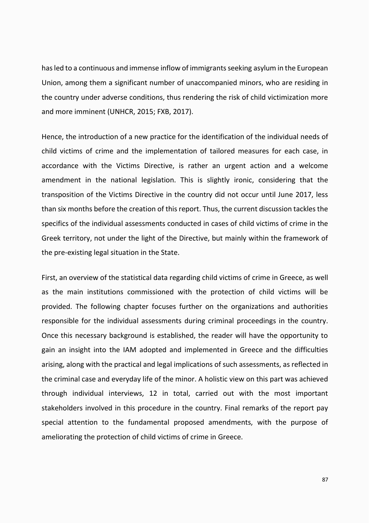has led to a continuous and immense inflow of immigrants seeking asylum in the European Union, among them a significant number of unaccompanied minors, who are residing in the country under adverse conditions, thus rendering the risk of child victimization more and more imminent (UNHCR, 2015; FXB, 2017).

Hence, the introduction of a new practice for the identification of the individual needs of child victims of crime and the implementation of tailored measures for each case, in accordance with the Victims Directive, is rather an urgent action and a welcome amendment in the national legislation. This is slightly ironic, considering that the transposition of the Victims Directive in the country did not occur until June 2017, less than six months before the creation of this report. Thus, the current discussion tackles the specifics of the individual assessments conducted in cases of child victims of crime in the Greek territory, not under the light of the Directive, but mainly within the framework of the pre-existing legal situation in the State.

First, an overview of the statistical data regarding child victims of crime in Greece, as well as the main institutions commissioned with the protection of child victims will be provided. The following chapter focuses further on the organizations and authorities responsible for the individual assessments during criminal proceedings in the country. Once this necessary background is established, the reader will have the opportunity to gain an insight into the ΙΑΜ adopted and implemented in Greece and the difficulties arising, along with the practical and legal implications of such assessments, as reflected in the criminal case and everyday life of the minor. A holistic view on this part was achieved through individual interviews, 12 in total, carried out with the most important stakeholders involved in this procedure in the country. Final remarks of the report pay special attention to the fundamental proposed amendments, with the purpose of ameliorating the protection of child victims of crime in Greece.